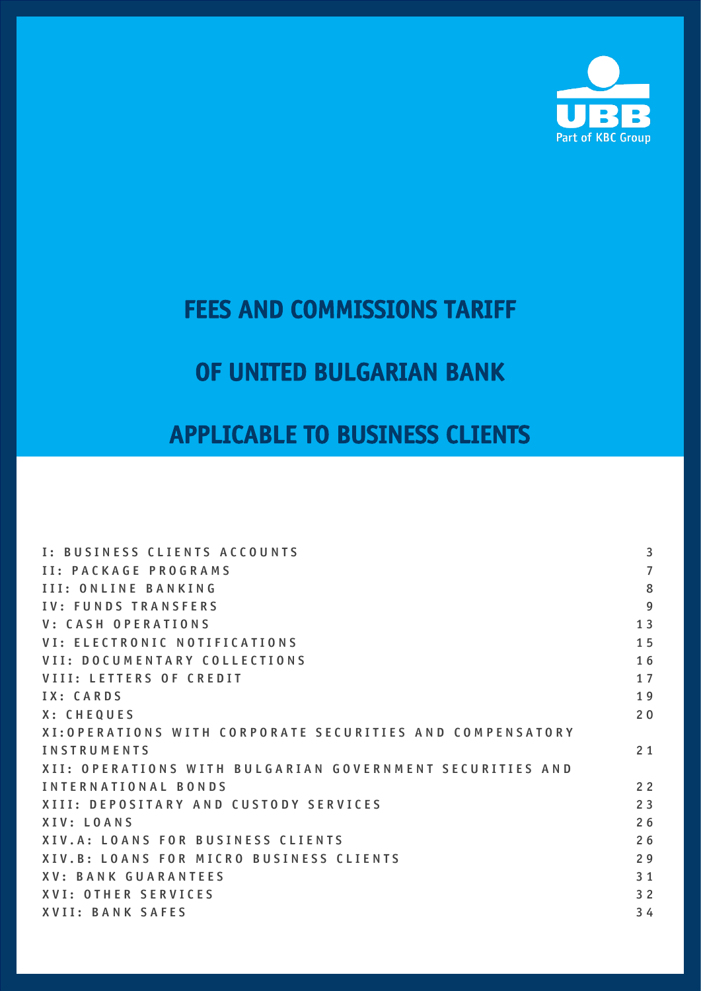

# FEES AND COMMISSIONS TARIFF

# OF UNITED BULGARIAN BANK

# APPLICABLE TO BUSINESS CLIENTS

| I: BUSINESS CLIENTS ACCOUNTS                              | 3              |
|-----------------------------------------------------------|----------------|
| <b>II: PACKAGE PROGRAMS</b>                               | $\overline{7}$ |
| III: ONLINE BANKING                                       | 8              |
| <b>IV: FUNDS TRANSFERS</b>                                | $\overline{9}$ |
| V: CASH OPERATIONS                                        | 13             |
| VI: ELECTRONIC NOTIFICATIONS                              | 15             |
| VII: DOCUMENTARY COLLECTIONS                              | 16             |
| <b>VIII: LETTERS OF CREDIT</b>                            | 17             |
| IX: CARDS                                                 | 19             |
| X: CHEQUES                                                | 20             |
| XI: OPERATIONS WITH CORPORATE SECURITIES AND COMPENSATORY |                |
| <b>INSTRUMENTS</b>                                        | 21             |
| XII: OPERATIONS WITH BULGARIAN GOVERNMENT SECURITIES AND  |                |
| INTERNATIONAL BONDS                                       | 2 <sub>2</sub> |
| XIII: DEPOSITARY AND CUSTODY SERVICES                     | 23             |
| XIV: LOANS                                                | 26             |
| XIV.A: LOANS FOR BUSINESS CLIENTS                         | 26             |
| XIV.B: LOANS FOR MICRO BUSINESS CLIENTS                   | 29             |
| XV: BANK GUARANTEES                                       | 3 <sub>1</sub> |
| <b>XVI: OTHER SERVICES</b>                                | 32             |
| <b>XVII: BANK SAFES</b>                                   | 34             |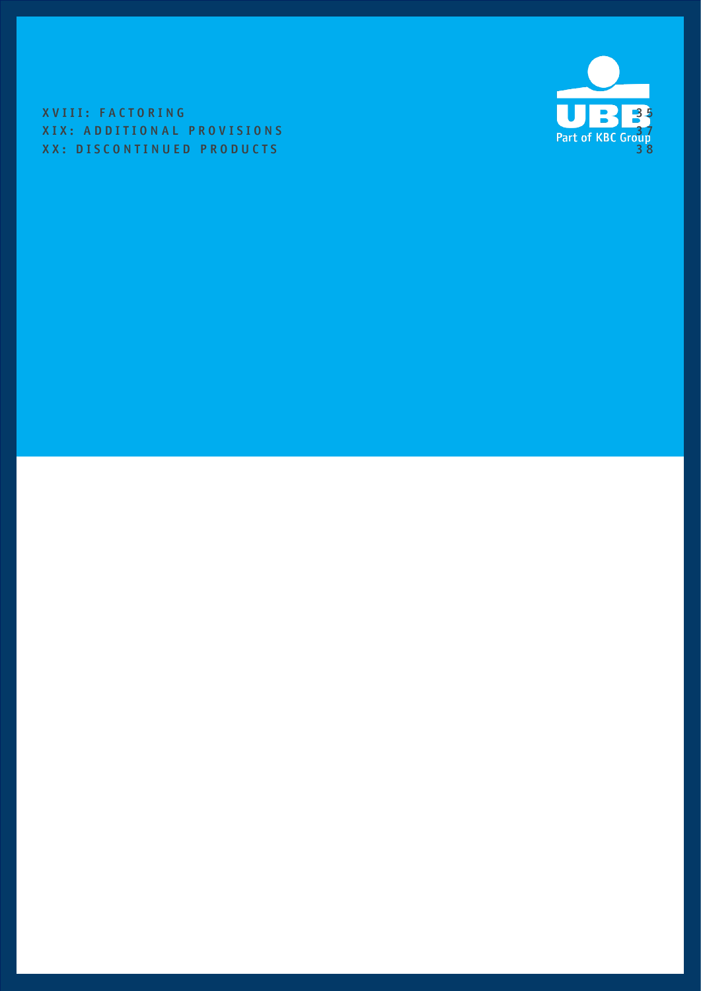XVIII: FACTORING SERVICES AND LOCAL CONTRACTORING XIX: ADDITIONAL PROVISIONS<br>XX: DISCONTINUED PRODUCTS 38 XX: DISCONTINUED PRODUCTS

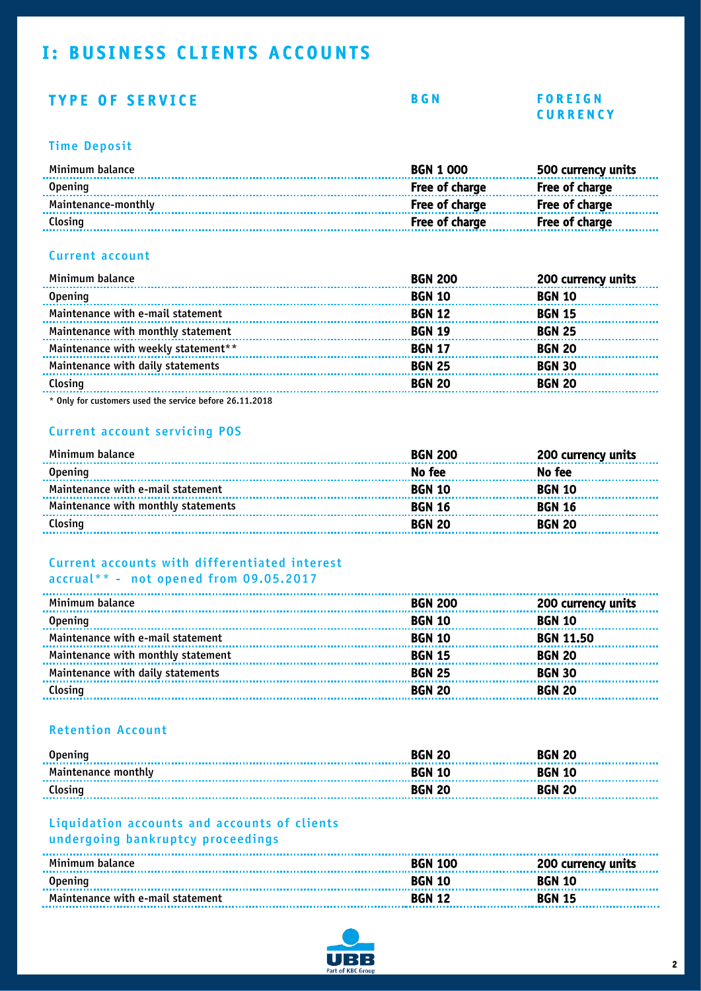# <span id="page-2-0"></span>I: BUSINESS CLIENTS ACCOUNTS

### TYPE OF SERVICE BGN FOREIGN

# C U R R E N C Y

#### Time Deposit

| Minimum balance     | <b>BGN 1 000</b> | 500 currency units    |
|---------------------|------------------|-----------------------|
| <b>Opening</b>      | Free of charge   | <b>Free of charge</b> |
| Maintenance-monthly | Free of charge   | <b>Free of charge</b> |
| Closing             | Free of charge   | Free of charge        |
|                     |                  |                       |

#### Current account

| Minimum balance                     | <b>BGN 200</b> | 200 currency units |
|-------------------------------------|----------------|--------------------|
| <b>Opening</b>                      | <b>BGN 10</b>  | <b>BGN 10</b>      |
| Maintenance with e-mail statement   | <b>BGN 12</b>  | <b>BGN 15</b>      |
| Maintenance with monthly statement  | <b>BGN 19</b>  | <b>BGN 25</b>      |
| Maintenance with weekly statement** | <b>BGN 17</b>  | <b>BGN 20</b>      |
| Maintenance with daily statements   | <b>BGN 25</b>  | <b>BGN 30</b>      |
| Closing                             | <b>BGN 20</b>  | <b>BGN 20</b>      |
|                                     |                |                    |

\* Only for customers used the service before 26.11.2018

#### Current account servicing POS

| Minimum balance                     | <b>BGN 200</b> | 200 currency units |
|-------------------------------------|----------------|--------------------|
| <b>Opening</b>                      | No fee         | No fee             |
| Maintenance with e-mail statement   | <b>BGN 10</b>  | <b>BGN 10</b>      |
| Maintenance with monthly statements | <b>BGN 16</b>  | <b>BGN 16</b>      |
| Closing                             | <b>BGN 20</b>  | <b>BGN 20</b>      |

#### Current accounts with differentiated interest accrual\*\* - not opened from 09.05.2017

| Minimum balance                    | <b>BGN 200</b> | 200 currency units |
|------------------------------------|----------------|--------------------|
| <b>Opening</b>                     | <b>BGN 10</b>  | <b>BGN 10</b>      |
| Maintenance with e-mail statement  | <b>BGN 10</b>  | <b>BGN 11.50</b>   |
| Maintenance with monthly statement | <b>BGN 15</b>  | <b>BGN 20</b>      |
| Maintenance with daily statements  | <b>BGN 25</b>  | <b>BGN 30</b>      |
| Closing                            | <b>BGN 20</b>  | <b>BGN 20</b>      |
|                                    |                |                    |

#### Retention Account

| <b>Opening</b>             | <b>BGN 20</b> | <b>BGN 20</b> |
|----------------------------|---------------|---------------|
| <b>Maintenance monthly</b> | <b>BGN 10</b> | <b>BGN 10</b> |
| Closing                    | <b>BGN 20</b> | <b>BGN 20</b> |

#### Liquidation accounts and accounts of clients undergoing bankruptcy proceedings

| Minimum balance                   | <b>BGN 100</b> | 0 100 200 currency units |
|-----------------------------------|----------------|--------------------------|
| <b>Opening</b>                    | <b>BGN 10</b>  | <b>BGN 10</b>            |
| Maintenance with e-mail statement | <b>BGN 12</b>  | <b>BGN 15</b>            |

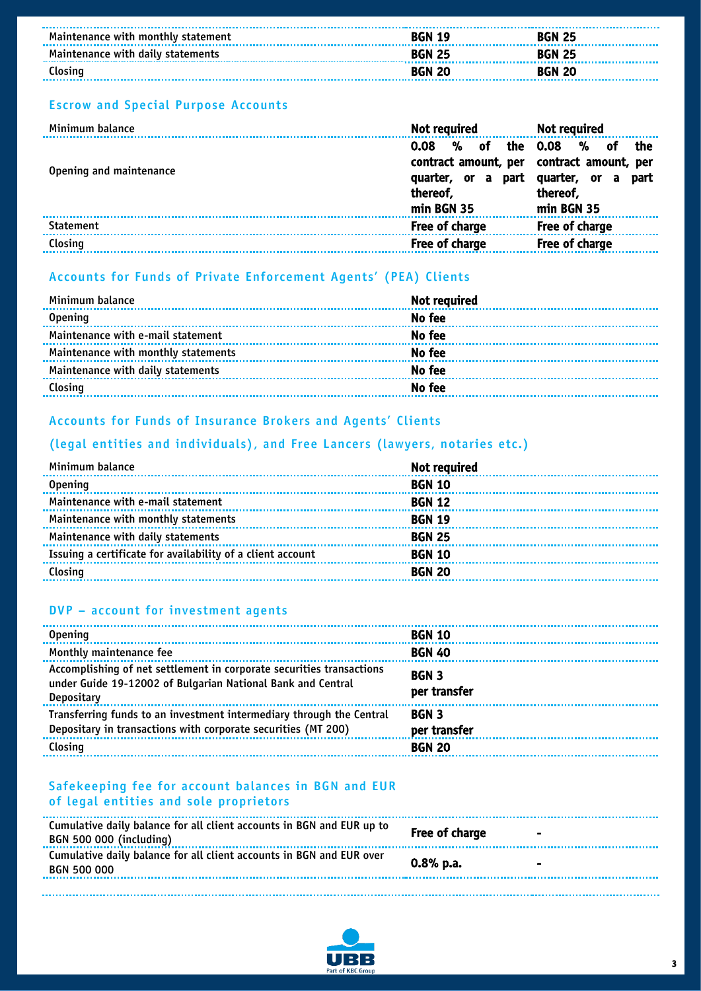| Maintenance with monthly statement | <b>BGN 19</b> | <b>BGN 25</b> |  |
|------------------------------------|---------------|---------------|--|
| Maintenance with daily statements  | <b>BGN 25</b> | <b>BGN 25</b> |  |
| Closing                            | <b>BGN 20</b> | <b>BGN 20</b> |  |

#### Escrow and Special Purpose Accounts

| Minimum balance         | Not required                                                                                                   | Not required                                                                |
|-------------------------|----------------------------------------------------------------------------------------------------------------|-----------------------------------------------------------------------------|
| Opening and maintenance | $%$ of<br>0.08<br>contract amount, per contract amount, per<br>part<br>quarter, or a<br>thereof,<br>min BGN 35 | %<br>the 0.08<br>-of<br>the<br>quarter, or a part<br>thereof,<br>min BGN 35 |
| <b>Statement</b>        | Free of charge                                                                                                 | Free of charge                                                              |
| Closing                 | Free of charge                                                                                                 | Free of charge                                                              |
|                         |                                                                                                                |                                                                             |

#### Accounts for Funds of Private Enforcement Agents' (PEA) Clients

| Minimum balance                     | <b>Not required</b> |
|-------------------------------------|---------------------|
| <b>Opening</b>                      | No fee              |
| Maintenance with e-mail statement   | No fee              |
| Maintenance with monthly statements | No fee              |
| Maintenance with daily statements   | No fee              |
| Closing                             | No fee              |

#### Accounts for Funds of Insurance Brokers and Agents' Clients

#### (legal entities and individuals), and Free Lancers (lawyers, notaries etc.)

| Minimum balance                                            | <b>Not required</b> |
|------------------------------------------------------------|---------------------|
| <b>Opening</b>                                             | <b>BGN 10</b>       |
| Maintenance with e-mail statement                          | <b>BGN 12</b>       |
| Maintenance with monthly statements                        | <b>BGN 19</b>       |
| Maintenance with daily statements                          | <b>BGN 25</b>       |
| Issuing a certificate for availability of a client account | <b>BGN 10</b>       |
| Closing                                                    | <b>BGN 20</b>       |
|                                                            |                     |

#### DVP – account for investment agents

| <b>Opening</b>                                                                                                                                    | <b>BGN 10</b>                |
|---------------------------------------------------------------------------------------------------------------------------------------------------|------------------------------|
| Monthly maintenance fee                                                                                                                           | <b>BGN 40</b>                |
| Accomplishing of net settlement in corporate securities transactions<br>under Guide 19-12002 of Bulgarian National Bank and Central<br>Depositary | <b>BGN 3</b><br>per transfer |
| Transferring funds to an investment intermediary through the Central<br>Depositary in transactions with corporate securities (MT 200)             | <b>BGN 3</b><br>per transfer |
| Closing                                                                                                                                           | <b>BGN 20</b>                |

#### Safekeeping fee for account balances in BGN and EUR of legal entities and sole proprietors

| Cumulative daily balance for all client accounts in BGN and EUR up to<br><b>BGN 500 000 (including)</b> | Free of charge | $\overline{\phantom{0}}$ |
|---------------------------------------------------------------------------------------------------------|----------------|--------------------------|
| Cumulative daily balance for all client accounts in BGN and EUR over<br>BGN 500 000                     | $0.8%$ p.a.    | $\blacksquare$           |

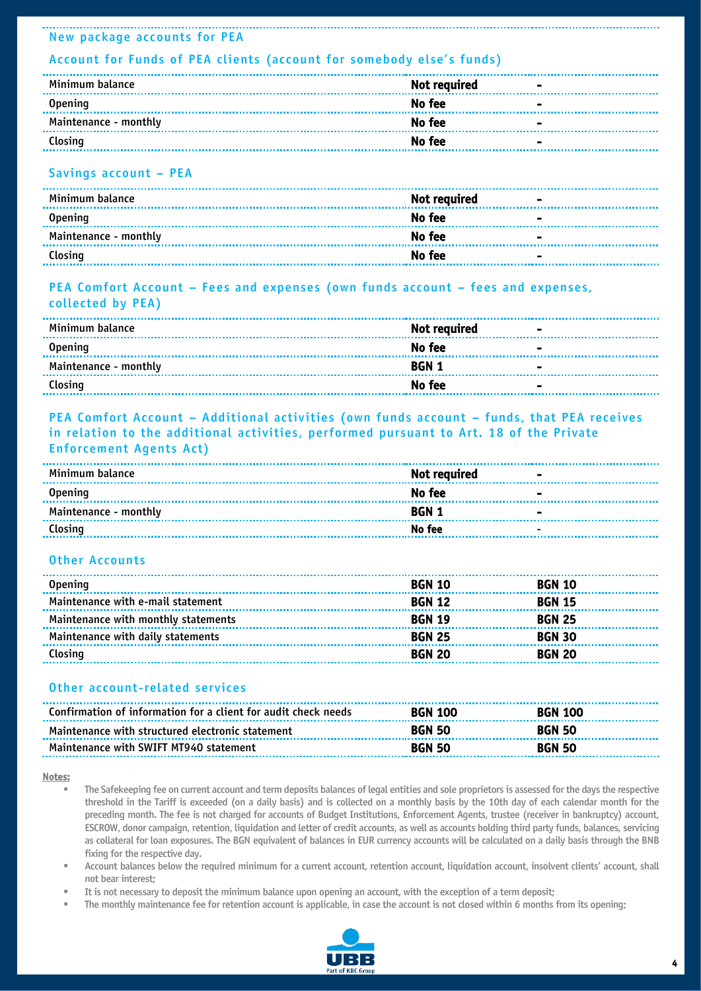#### New package accounts for PEA

#### Account for Funds of PEA clients (account for somebody else's funds)

| Minimum balance       | Not required                                       | $\overline{\phantom{0}}$ |
|-----------------------|----------------------------------------------------|--------------------------|
| Opening               | No fee<br><b>Contract Contract</b>                 |                          |
| Maintenance - monthly | No fee<br><b><i>Contract Contract Contract</i></b> |                          |
| Closing               | No fee                                             | $\blacksquare$           |

#### Savings account – PEA

| Minimum balance       | Not required | $\sim$         |
|-----------------------|--------------|----------------|
| <b>Opening</b>        | No fee       | $\blacksquare$ |
| Maintenance - monthly | No fee       | $\blacksquare$ |
| Closing               | No fee       | $\blacksquare$ |

#### PEA Comfort Account – Fees and expenses (own funds account – fees and expenses, collected by PEA)

| Minimum balance       | <b>Not required</b><br><b>Contract Contract</b> |                |
|-----------------------|-------------------------------------------------|----------------|
| <b>Opening</b>        | No fee                                          | $\sim$         |
| Maintenance - monthly | BGN 1                                           | $\blacksquare$ |
| Closing               | No fee                                          | $\blacksquare$ |

#### PEA Comfort Account – Additional activities (own funds account – funds, that PEA receives in relation to the additional activities, performed pursuant to Art. 18 of the Private Enforcement Agents Act)

| Minimum balance       | Not required | $\blacksquare$           |
|-----------------------|--------------|--------------------------|
| <b>Opening</b>        | No fee       | $\overline{\phantom{0}}$ |
| Maintenance - monthly | <b>BGN 1</b> | $\blacksquare$           |
| <u>Closing No fee</u> |              | $\overline{\phantom{0}}$ |

#### Other Accounts

| <b>Opening</b>                      | <b>BGN 10</b> | <b>BGN 10</b> |
|-------------------------------------|---------------|---------------|
| Maintenance with e-mail statement   | <b>BGN 12</b> | <b>BGN 15</b> |
| Maintenance with monthly statements | <b>BGN 19</b> | <b>BGN 25</b> |
| Maintenance with daily statements   | <b>BGN 25</b> | <b>BGN 30</b> |
| Closing                             | <b>BGN 20</b> | <b>BGN 20</b> |

#### Other account-related services

| Confirmation of information for a client for audit check needs | <b>BGN 100</b> | <b>BGN 100</b> |  |
|----------------------------------------------------------------|----------------|----------------|--|
| Maintenance with structured electronic statement               | <b>BGN 50</b>  | <b>BGN 50</b>  |  |
| Maintenance with SWIFT MT940 statement                         | <b>BGN 50</b>  | <b>BGN 50</b>  |  |

#### Notes:

- The Safekeeping fee on current account and term deposits balances of legal entities and sole proprietors is assessed for the days the respective threshold in the Tariff is exceeded (on a daily basis) and is collected on a monthly basis by the 10th day of each calendar month for the preceding month. The fee is not charged for accounts of Budget Institutions, Enforcement Agents, trustee (receiver in bankruptcy) account, ESCROW, donor campaign, retention, liquidation and letter of credit accounts, as well as accounts holding third party funds, balances, servicing as collateral for loan exposures. The BGN equivalent of balances in EUR currency accounts will be calculated on a daily basis through the BNB fixing for the respective day.
- Account balances below the required minimum for a current account, retention account, liquidation account, insolvent clients' account, shall not bear interest;
- It is not necessary to deposit the minimum balance upon opening an account, with the exception of a term deposit;
- The monthly maintenance fee for retention account is applicable, in case the account is not closed within 6 months from its opening;

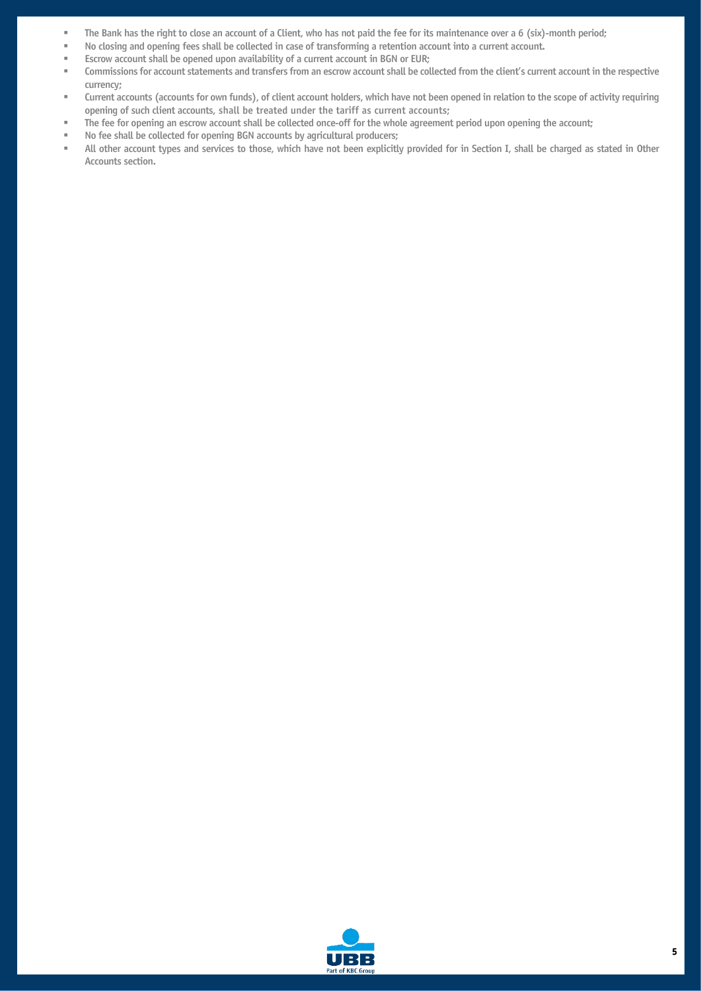- The Bank has the right to close an account of a Client, who has not paid the fee for its maintenance over a 6 (six)-month period;
- No closing and opening fees shall be collected in case of transforming a retention account into a current account.
- **EXECT** Escrow account shall be opened upon availability of a current account in BGN or EUR;
- Commissions for account statements and transfers from an escrow account shall be collected from the client's current account in the respective currency;
- Current accounts (accounts for own funds), of client account holders, which have not been opened in relation to the scope of activity requiring opening of such client accounts, shall be treated under the tariff as current accounts;
- The fee for opening an escrow account shall be collected once-off for the whole agreement period upon opening the account;
- No fee shall be collected for opening BGN accounts by agricultural producers;
- All other account types and services to those, which have not been explicitly provided for in Section I, shall be charged as stated in Other Accounts section.

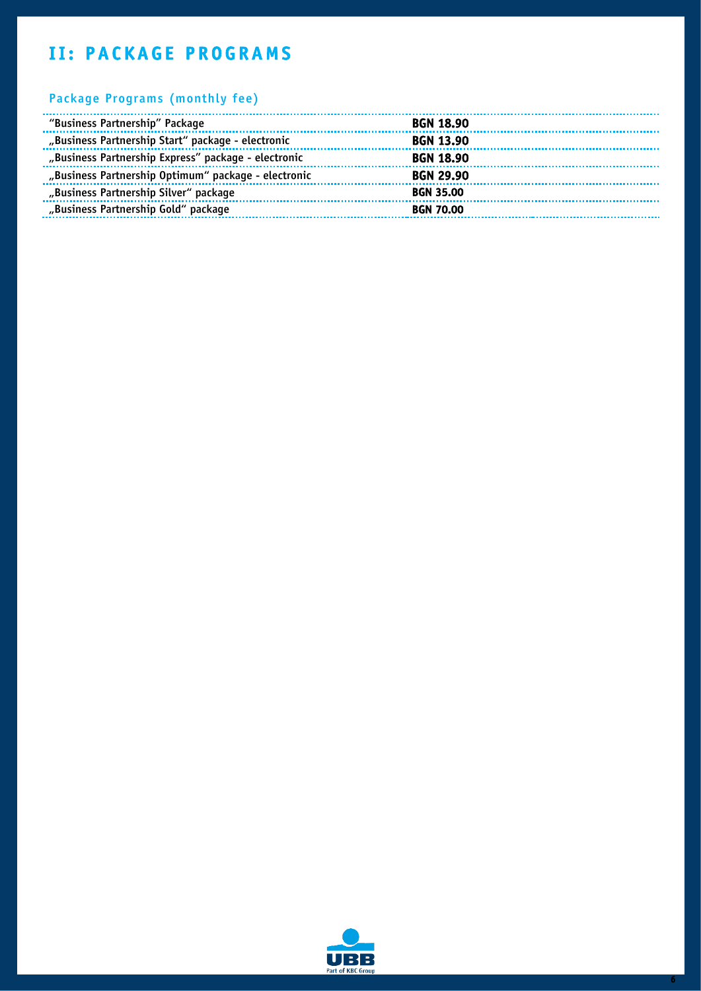# <span id="page-6-0"></span>**II: PACKAGE PROGRAMS**

#### Package Programs (monthly fee)

| "Business Partnership" Package                      | <b>BGN 18.90</b> |
|-----------------------------------------------------|------------------|
| "Business Partnership Start" package - electronic   | <b>BGN 13.90</b> |
| "Business Partnership Express" package - electronic | <b>BGN 18.90</b> |
| "Business Partnership Optimum" package - electronic | <b>BGN 29.90</b> |
| "Business Partnership Silver" package               | <b>BGN 35.00</b> |
| "Business Partnership Gold" package                 | <b>BGN 70.00</b> |

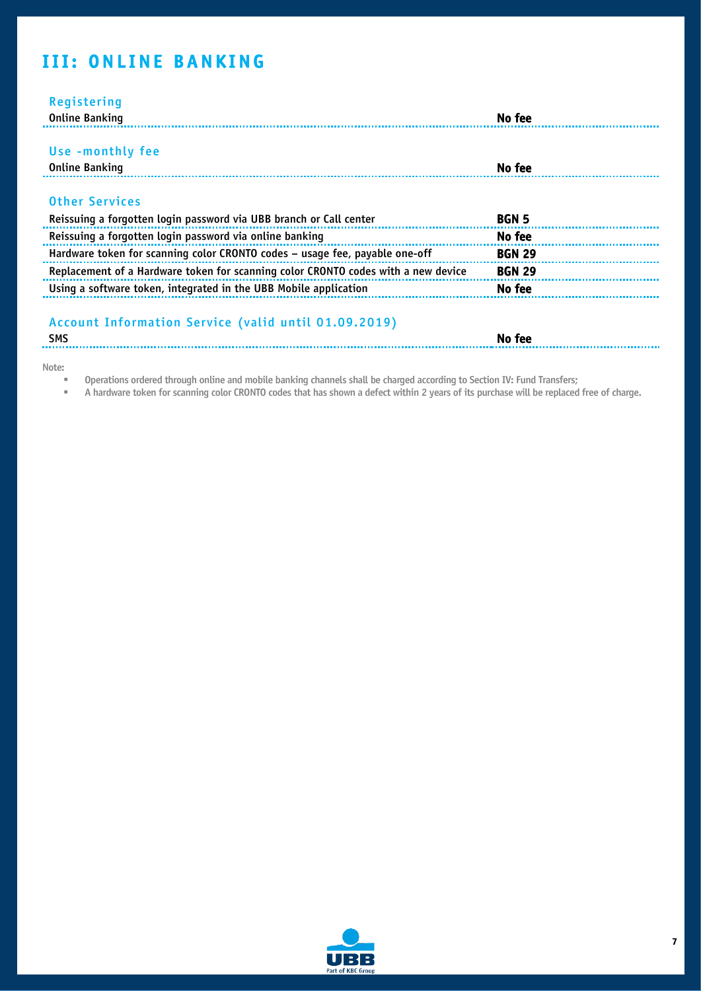# <span id="page-7-0"></span>**III: ONLINE BANKING**

| Registering<br><b>Online Banking</b>                                                                                          | No fee                 |
|-------------------------------------------------------------------------------------------------------------------------------|------------------------|
| Use -monthly fee                                                                                                              |                        |
| <b>Online Banking</b>                                                                                                         | No fee                 |
| <b>Other Services</b>                                                                                                         |                        |
| Reissuing a forgotten login password via UBB branch or Call center<br>Reissuing a forgotten login password via online banking | <b>BGN 5</b><br>No fee |
| Hardware token for scanning color CRONTO codes - usage fee, payable one-off                                                   | <b>BGN 29</b>          |
| Replacement of a Hardware token for scanning color CRONTO codes with a new device                                             | <b>BGN 29</b>          |
| Using a software token, integrated in the UBB Mobile application                                                              | No fee                 |
| Account Information Service (valid until 01.09.2019)<br><b>SMS</b>                                                            | No fee                 |

Note:

**Dearations ordered through online and mobile banking channels shall be charged according to Section IV: Fund Transfers;** 

" A hardware token for scanning color CRONTO codes that has shown a defect within 2 years of its purchase will be replaced free of charge.

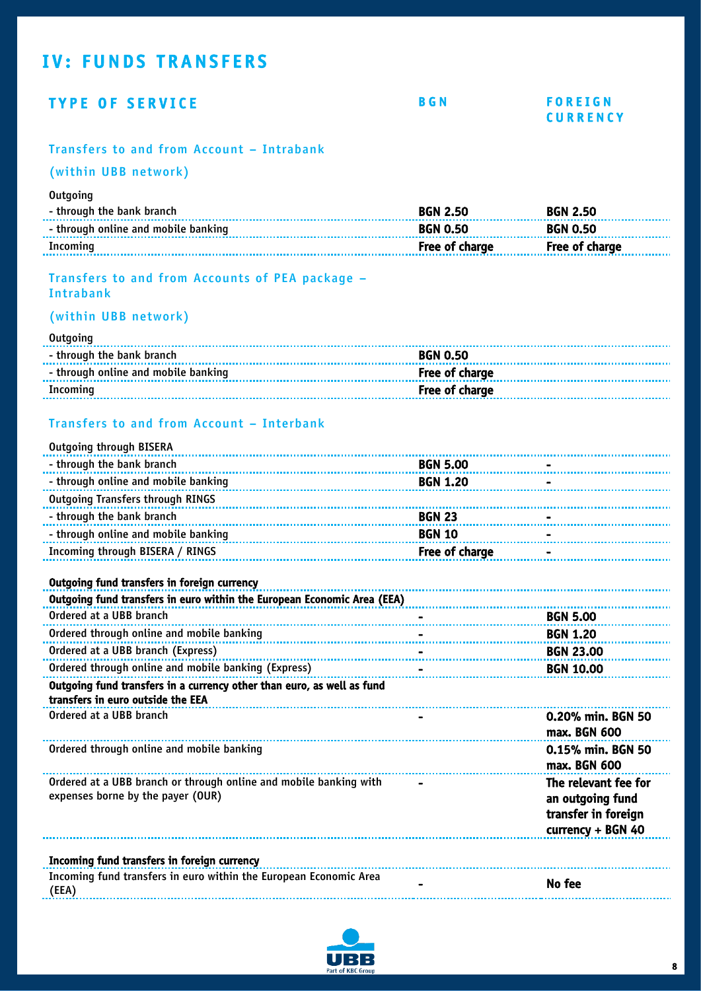# <span id="page-8-0"></span>**IV: FUNDS TRANSFERS**

### TYPE OF SERVICE BGN FOREIGN

# **CURRENCY**

#### Transfers to and from Account – Intrabank

#### (within UBB network)

#### **Outgoing**

| Incoming                            | Free of charge  | Free of charge  |
|-------------------------------------|-----------------|-----------------|
| - through online and mobile banking | <b>BGN 0.50</b> | <b>BGN 0.50</b> |
| - through the bank branch           | <b>BGN 2.50</b> | <b>BGN 2.50</b> |

#### Transfers to and from Accounts of PEA package – Intrabank

### (within UBB network)

#### **Outgoing**

| - through the bank branch           | <b>BGN 0.50</b> |
|-------------------------------------|-----------------|
| - through online and mobile banking |                 |
|                                     |                 |

### Transfers to and from Account – Interbank

| <b>Outgoing through BISERA</b>                                                                              |                 |                                                                                      |
|-------------------------------------------------------------------------------------------------------------|-----------------|--------------------------------------------------------------------------------------|
| - through the bank branch                                                                                   | <b>BGN 5.00</b> |                                                                                      |
| - through online and mobile banking                                                                         | <b>BGN 1.20</b> |                                                                                      |
| <b>Outgoing Transfers through RINGS</b>                                                                     |                 |                                                                                      |
| - through the bank branch                                                                                   | <b>BGN 23</b>   |                                                                                      |
| - through online and mobile banking                                                                         | <b>BGN 10</b>   |                                                                                      |
| Incoming through BISERA / RINGS                                                                             | Free of charge  |                                                                                      |
| Outgoing fund transfers in foreign currency                                                                 |                 |                                                                                      |
| Outgoing fund transfers in euro within the European Economic Area (EEA)                                     |                 |                                                                                      |
| Ordered at a UBB branch                                                                                     |                 | <b>BGN 5.00</b>                                                                      |
| Ordered through online and mobile banking                                                                   |                 | <b>BGN 1.20</b>                                                                      |
| Ordered at a UBB branch (Express)                                                                           |                 | <b>BGN 23.00</b>                                                                     |
| Ordered through online and mobile banking (Express)                                                         |                 | <b>BGN 10.00</b>                                                                     |
| Outgoing fund transfers in a currency other than euro, as well as fund<br>transfers in euro outside the EEA |                 |                                                                                      |
| Ordered at a UBB branch                                                                                     |                 | 0.20% min. BGN 50<br>max. BGN 600                                                    |
| Ordered through online and mobile banking                                                                   |                 | 0.15% min. BGN 50<br>max. BGN 600                                                    |
| Ordered at a UBB branch or through online and mobile banking with<br>expenses borne by the payer (OUR)      |                 | The relevant fee for<br>an outgoing fund<br>transfer in foreign<br>currency + BGN 40 |
| Incoming fund transfers in foreign currency                                                                 |                 |                                                                                      |
| Incoming fund transfers in euro within the European Economic Area<br>(EEA)                                  |                 | No fee                                                                               |

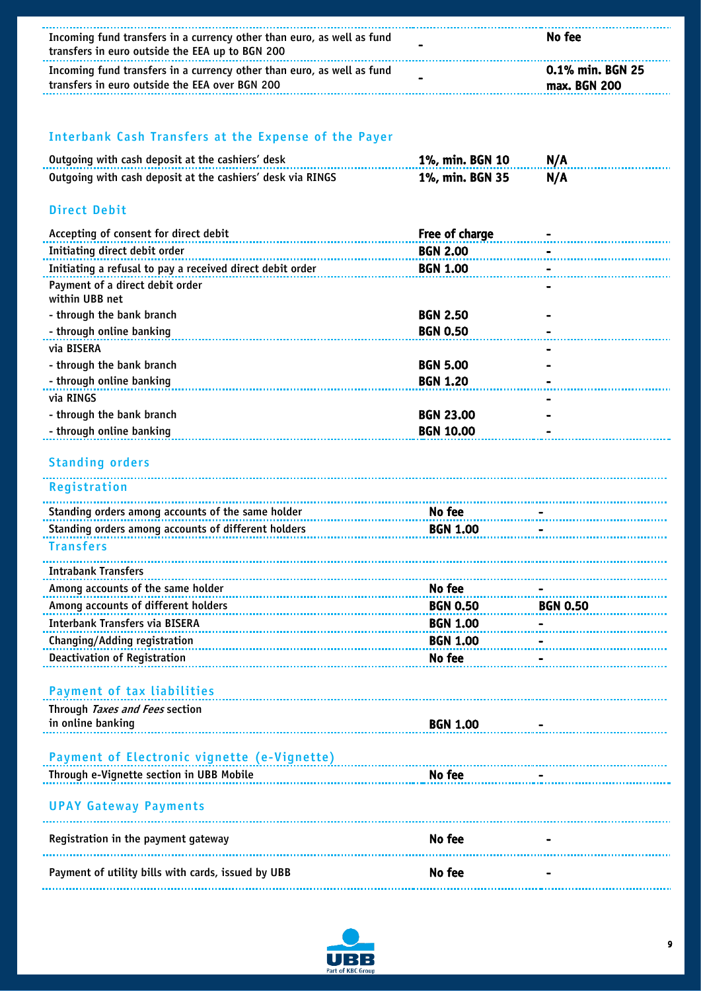| Incoming fund transfers in a currency other than euro, as well as fund<br>transfers in euro outside the EEA up to BGN 200 |                  | No fee                           |
|---------------------------------------------------------------------------------------------------------------------------|------------------|----------------------------------|
| Incoming fund transfers in a currency other than euro, as well as fund<br>transfers in euro outside the EEA over BGN 200  |                  | 0.1% min. BGN 25<br>max. BGN 200 |
|                                                                                                                           |                  |                                  |
| Interbank Cash Transfers at the Expense of the Payer                                                                      |                  |                                  |
| Outgoing with cash deposit at the cashiers' desk                                                                          | 1%, min. BGN 10  | N/A                              |
| Outgoing with cash deposit at the cashiers' desk via RINGS                                                                | 1%, min. BGN 35  | N/A                              |
| <b>Direct Debit</b>                                                                                                       |                  |                                  |
| Accepting of consent for direct debit                                                                                     | Free of charge   |                                  |
| Initiating direct debit order                                                                                             | <b>BGN 2.00</b>  |                                  |
| Initiating a refusal to pay a received direct debit order                                                                 | <b>BGN 1.00</b>  |                                  |
| Payment of a direct debit order                                                                                           |                  |                                  |
| within UBB net                                                                                                            |                  |                                  |
| - through the bank branch                                                                                                 | <b>BGN 2.50</b>  |                                  |
| - through online banking                                                                                                  | <b>BGN 0.50</b>  |                                  |
| via BISERA                                                                                                                |                  |                                  |
| - through the bank branch                                                                                                 | <b>BGN 5.00</b>  |                                  |
| - through online banking                                                                                                  | <b>BGN 1.20</b>  |                                  |
| via RINGS                                                                                                                 |                  |                                  |
| - through the bank branch                                                                                                 | <b>BGN 23.00</b> |                                  |
| - through online banking                                                                                                  | <b>BGN 10.00</b> |                                  |
| <b>Standing orders</b>                                                                                                    |                  |                                  |
| Registration                                                                                                              |                  |                                  |
| Standing orders among accounts of the same holder                                                                         | No fee           |                                  |
| Standing orders among accounts of different holders                                                                       | <b>BGN 1.00</b>  |                                  |
| Transfers                                                                                                                 |                  |                                  |
| <b>Intrabank Transfers</b>                                                                                                |                  |                                  |
| Among accounts of the same holder                                                                                         | No fee           |                                  |
| Among accounts of different holders                                                                                       | <b>BGN 0.50</b>  | <b>BGN 0.50</b>                  |
| <b>Interbank Transfers via BISERA</b>                                                                                     | <b>BGN 1.00</b>  |                                  |
| Changing/Adding registration                                                                                              | <b>BGN 1.00</b>  |                                  |
| <b>Deactivation of Registration</b>                                                                                       | No fee           |                                  |
|                                                                                                                           |                  |                                  |
| <b>Payment of tax liabilities</b>                                                                                         |                  |                                  |
| Through Taxes and Fees section                                                                                            |                  |                                  |
| in online banking                                                                                                         | <b>BGN 1.00</b>  |                                  |
|                                                                                                                           |                  |                                  |
| Payment of Electronic vignette (e-Vignette)                                                                               |                  |                                  |
| Through e-Vignette section in UBB Mobile                                                                                  | No fee           |                                  |
| <b>UPAY Gateway Payments</b>                                                                                              |                  |                                  |
| Registration in the payment gateway                                                                                       | No fee           |                                  |
| Payment of utility bills with cards, issued by UBB                                                                        | No fee           |                                  |
|                                                                                                                           |                  |                                  |

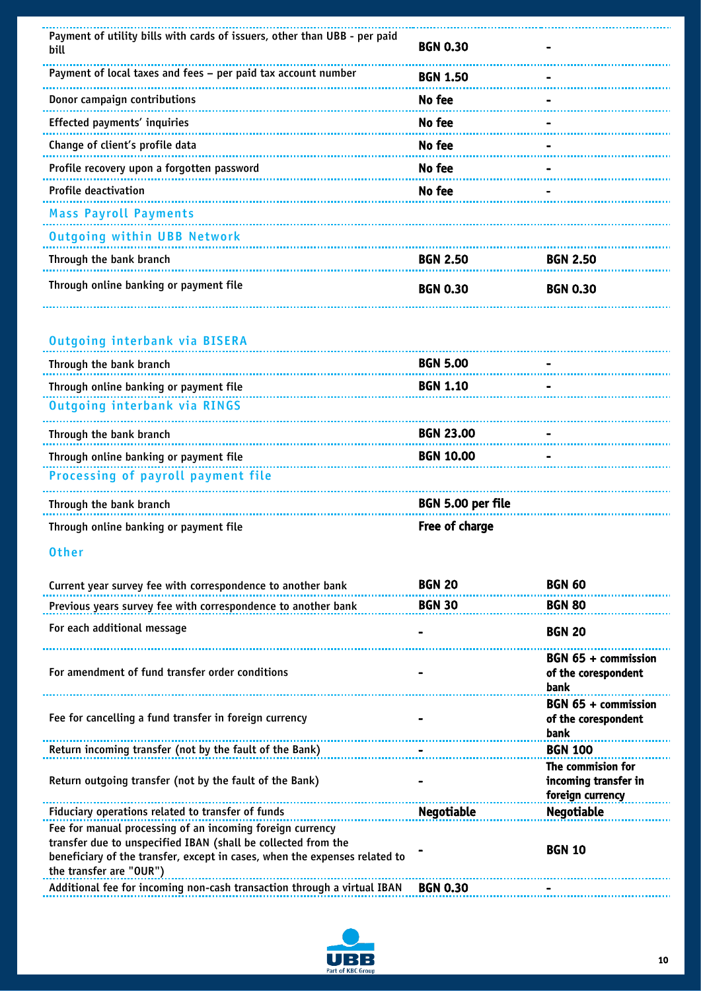| Payment of utility bills with cards of issuers, other than UBB - per paid<br>bill | <b>BGN 0.30</b> |                 |
|-----------------------------------------------------------------------------------|-----------------|-----------------|
| Payment of local taxes and fees - per paid tax account number                     | <b>BGN 1.50</b> |                 |
| Donor campaign contributions                                                      | No fee          |                 |
| Effected payments' inquiries                                                      | No fee          |                 |
| Change of client's profile data                                                   | No fee          |                 |
| Profile recovery upon a forgotten password                                        | No fee          |                 |
| <b>Profile deactivation</b>                                                       | No fee          |                 |
| <b>Mass Payroll Payments</b>                                                      |                 |                 |
| <b>Outgoing within UBB Network</b>                                                |                 |                 |
| Through the bank branch                                                           | <b>BGN 2.50</b> | <b>BGN 2.50</b> |
| Through online banking or payment file                                            | <b>BGN 0.30</b> | <b>BGN 0.30</b> |

#### Outgoing interbank via BISERA

| Through the bank branch                | <b>BGN 5.00</b>   |  |
|----------------------------------------|-------------------|--|
| Through online banking or payment file | <b>BGN 1.10</b>   |  |
| Outgoing interbank via RINGS           |                   |  |
| Through the bank branch                | <b>BGN 23.00</b>  |  |
| Through online banking or payment file | <b>BGN 10.00</b>  |  |
| Processing of payroll payment file     |                   |  |
| Through the bank branch                | BGN 5.00 per file |  |
| Through online banking or payment file | Free of charge    |  |

#### Other

| Current year survey fee with correspondence to another bank                                                                                                                                                                         | <b>BGN 20</b>     | <b>BGN 60</b>                                                 |
|-------------------------------------------------------------------------------------------------------------------------------------------------------------------------------------------------------------------------------------|-------------------|---------------------------------------------------------------|
| Previous years survey fee with correspondence to another bank                                                                                                                                                                       | <b>BGN 30</b>     | <b>BGN 80</b>                                                 |
| For each additional message                                                                                                                                                                                                         |                   | <b>BGN 20</b>                                                 |
| For amendment of fund transfer order conditions                                                                                                                                                                                     |                   | BGN 65 + commission<br>of the corespondent<br>bank            |
| Fee for cancelling a fund transfer in foreign currency                                                                                                                                                                              |                   | BGN 65 + commission<br>of the corespondent<br><b>bank</b>     |
| Return incoming transfer (not by the fault of the Bank)                                                                                                                                                                             |                   | <b>BGN 100</b>                                                |
| Return outgoing transfer (not by the fault of the Bank)                                                                                                                                                                             |                   | The commision for<br>incoming transfer in<br>foreign currency |
| Fiduciary operations related to transfer of funds                                                                                                                                                                                   | <b>Negotiable</b> | <b>Negotiable</b>                                             |
| Fee for manual processing of an incoming foreign currency<br>transfer due to unspecified IBAN (shall be collected from the<br>beneficiary of the transfer, except in cases, when the expenses related to<br>the transfer are "OUR") |                   | <b>BGN 10</b>                                                 |
| Additional fee for incoming non-cash transaction through a virtual IBAN                                                                                                                                                             | <b>BGN 0.30</b>   |                                                               |

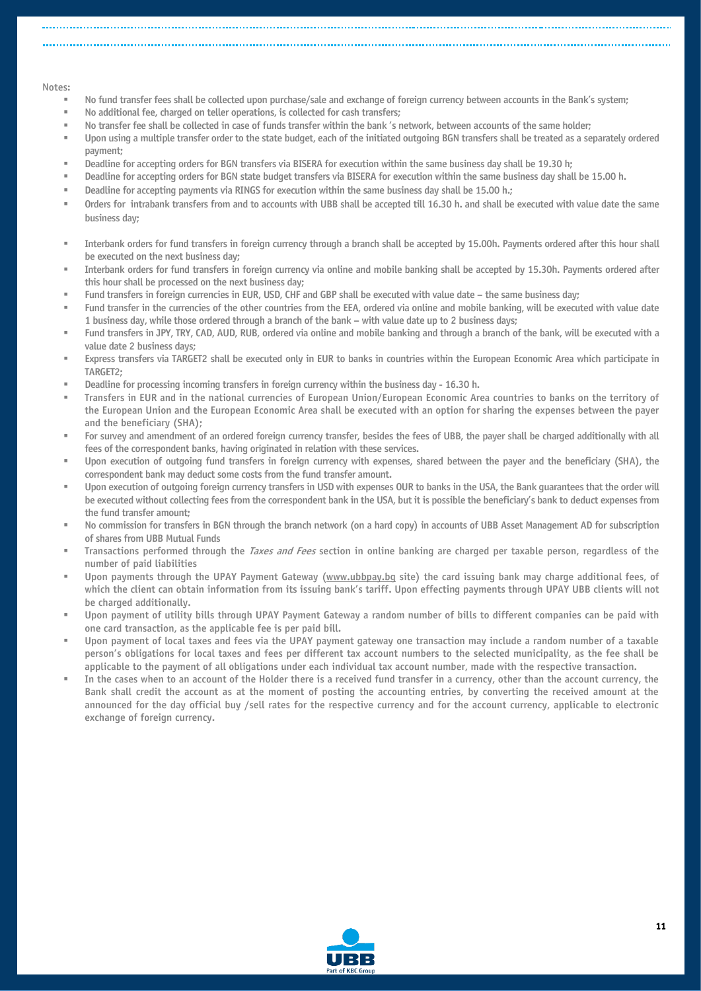#### Notes:

- No fund transfer fees shall be collected upon purchase/sale and exchange of foreign currency between accounts in the Bank's system;
- No additional fee, charged on teller operations, is collected for cash transfers;
- No transfer fee shall be collected in case of funds transfer within the bank 's network, between accounts of the same holder;
- Upon using a multiple transfer order to the state budget, each of the initiated outgoing BGN transfers shall be treated as a separately ordered payment;
- Deadline for accepting orders for BGN transfers via BISERA for execution within the same business day shall be 19.30 h;
- Deadline for accepting orders for BGN state budget transfers via BISERA for execution within the same business day shall be 15.00 h.
- Deadline for accepting payments via RINGS for execution within the same business day shall be 15.00 h.;
- Orders for intrabank transfers from and to accounts with UBB shall be accepted till 16.30 h. and shall be executed with value date the same business day;
- Interbank orders for fund transfers in foreign currency through a branch shall be accepted by 15.00h. Payments ordered after this hour shall be executed on the next business day;
- Interbank orders for fund transfers in foreign currency via online and mobile banking shall be accepted by 15.30h. Payments ordered after this hour shall be processed on the next business day;
- Fund transfers in foreign currencies in EUR, USD, CHF and GBP shall be executed with value date the same business day;
- Fund transfer in the currencies of the other countries from the EEA, ordered via online and mobile banking, will be executed with value date 1 business day, while those ordered through a branch of the bank – with value date up to 2 business days;
- Fund transfers in JPY, TRY, CAD, AUD, RUB, ordered via online and mobile banking and through a branch of the bank, will be executed with a value date 2 business days;
- Express transfers via TARGET2 shall be executed only in EUR to banks in countries within the European Economic Area which participate in TARGET2;
- Deadline for processing incoming transfers in foreign currency within the business day 16.30 h.
- Transfers in EUR and in the national currencies of European Union/European Economic Area countries to banks on the territory of the European Union and the European Economic Area shall be executed with an option for sharing the expenses between the payer and the beneficiary (SHA);
- For survey and amendment of an ordered foreign currency transfer, besides the fees of UBB, the payer shall be charged additionally with all fees of the correspondent banks, having originated in relation with these services.
- Upon execution of outgoing fund transfers in foreign currency with expenses, shared between the payer and the beneficiary (SHA), the correspondent bank may deduct some costs from the fund transfer amount.
- Upon execution of outgoing foreign currency transfers in USD with expenses OUR to banks in the USA, the Bank guarantees that the order will be executed without collecting fees from the correspondent bank in the USA, but it is possible the beneficiary's bank to deduct expenses from the fund transfer amount;
- No commission for transfers in BGN through the branch network (on a hard copy) in accounts of UBB Asset Management AD for subscription of shares from UBB Mutual Funds
- Transactions performed through the *Taxes and Fees* section in online banking are charged per taxable person, regardless of the number of paid liabilities
- Upon payments through the UPAY Payment Gateway [\(www.ubbpay.bg](http://www.ubbpay.bg/) site) the card issuing bank may charge additional fees, of which the client can obtain information from its issuing bank's tariff. Upon effecting payments through UPAY UBB clients will not be charged additionally.
- Upon payment of utility bills through UPAY Payment Gateway a random number of bills to different companies can be paid with one card transaction, as the applicable fee is per paid bill.
- Upon payment of local taxes and fees via the UPAY payment gateway one transaction may include a random number of a taxable person's obligations for local taxes and fees per different tax account numbers to the selected municipality, as the fee shall be applicable to the payment of all obligations under each individual tax account number, made with the respective transaction.
- In the cases when to an account of the Holder there is a received fund transfer in a currency, other than the account currency, the Bank shall credit the account as at the moment of posting the accounting entries, by converting the received amount at the announced for the day official buy /sell rates for the respective currency and for the account currency, applicable to electronic exchange of foreign currency.

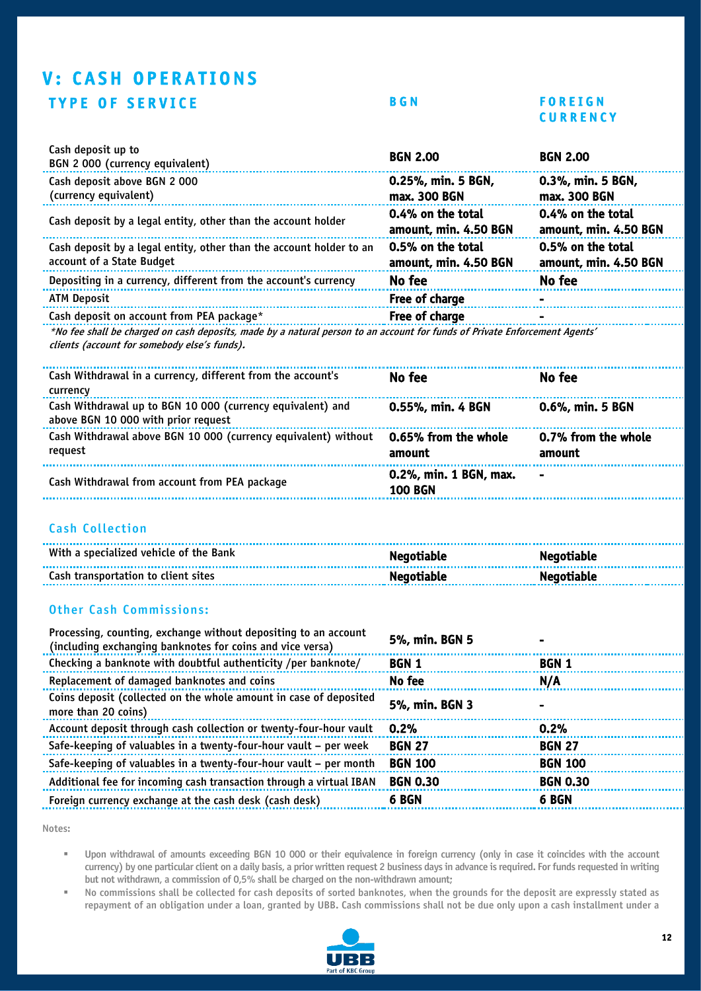# <span id="page-12-0"></span>**V: CASH OPERATIONS** TYPE OF SERVICE BGN FOREIGN

# **CURRENCY**

| Cash deposit up to<br>BGN 2 000 (currency equivalent)                                                                      | <b>BGN 2.00</b>                            | <b>BGN 2.00</b>                            |
|----------------------------------------------------------------------------------------------------------------------------|--------------------------------------------|--------------------------------------------|
| Cash deposit above BGN 2000<br>(currency equivalent)                                                                       | 0.25%, min. 5 BGN,<br>max. 300 BGN         | 0.3%, min. 5 BGN,<br>max. 300 BGN          |
| Cash deposit by a legal entity, other than the account holder                                                              | 0.4% on the total<br>amount, min. 4.50 BGN | 0.4% on the total<br>amount, min. 4.50 BGN |
| Cash deposit by a legal entity, other than the account holder to an<br>account of a State Budget                           | 0.5% on the total<br>amount, min. 4.50 BGN | 0.5% on the total<br>amount, min. 4.50 BGN |
| Depositing in a currency, different from the account's currency                                                            | No fee                                     | No fee                                     |
| <b>ATM Deposit</b>                                                                                                         | Free of charge                             |                                            |
| Cash deposit on account from PEA package*                                                                                  | Free of charge                             | $\blacksquare$                             |
| *No fee shall be charged on cash deposits, made by a natural person to an account for funds of Private Enforcement Agents' |                                            |                                            |

clients (account for somebody else's funds).

| Cash Withdrawal in a currency, different from the account's<br>currency                           | No fee                                   | No fee                        |
|---------------------------------------------------------------------------------------------------|------------------------------------------|-------------------------------|
| Cash Withdrawal up to BGN 10 000 (currency equivalent) and<br>above BGN 10 000 with prior request | 0.55%, min. 4 BGN                        | 0.6%, min. 5 BGN              |
| Cash Withdrawal above BGN 10 000 (currency equivalent) without<br>reguest                         | 0.65% from the whole<br>amount           | 0.7% from the whole<br>amount |
| Cash Withdrawal from account from PEA package                                                     | 0.2%, min. 1 BGN, max.<br><b>100 BGN</b> | $\blacksquare$                |

#### Cash Collection

| With a specialized vehicle of the Bank | <b>Negotiable</b> | <b>Negotiable</b> |
|----------------------------------------|-------------------|-------------------|
| Cash transportation to client sites    | <b>Negotiable</b> | <b>Negotiable</b> |

#### Other Cash Commissions:

| Processing, counting, exchange without depositing to an account<br>(including exchanging banknotes for coins and vice versa) | 5%, min. BGN 5  |                 |
|------------------------------------------------------------------------------------------------------------------------------|-----------------|-----------------|
| Checking a banknote with doubtful authenticity /per banknote/                                                                | <b>BGN 1</b>    | BGN 1           |
| Replacement of damaged banknotes and coins                                                                                   | No fee          | N/A             |
| Coins deposit (collected on the whole amount in case of deposited<br>more than 20 coins)                                     | 5%, min. BGN 3  |                 |
| Account deposit through cash collection or twenty-four-hour vault                                                            | 0.2%            | 0.2%            |
| Safe-keeping of valuables in a twenty-four-hour vault – per week                                                             | <b>BGN 27</b>   | <b>BGN 27</b>   |
| Safe-keeping of valuables in a twenty-four-hour vault – per month                                                            | <b>BGN 100</b>  | <b>BGN 100</b>  |
| Additional fee for incoming cash transaction through a virtual IBAN                                                          | <b>BGN 0.30</b> | <b>BGN 0.30</b> |
| Foreign currency exchange at the cash desk (cash desk)                                                                       | 6 BGN           | 6 BGN           |

Notes:

▪ Upon withdrawal of amounts exceeding BGN 10 000 or their equivalence in foreign currency (only in case it coincides with the account currency) by one particular client on a daily basis, a prior written request 2 business days in advance is required. For funds requested in writing but not withdrawn, a commission of 0,5% shall be charged on the non-withdrawn amount;

No commissions shall be collected for cash deposits of sorted banknotes, when the grounds for the deposit are expressly stated as repayment of an obligation under a loan, granted by UBB. Cash commissions shall not be due only upon a cash installment under a

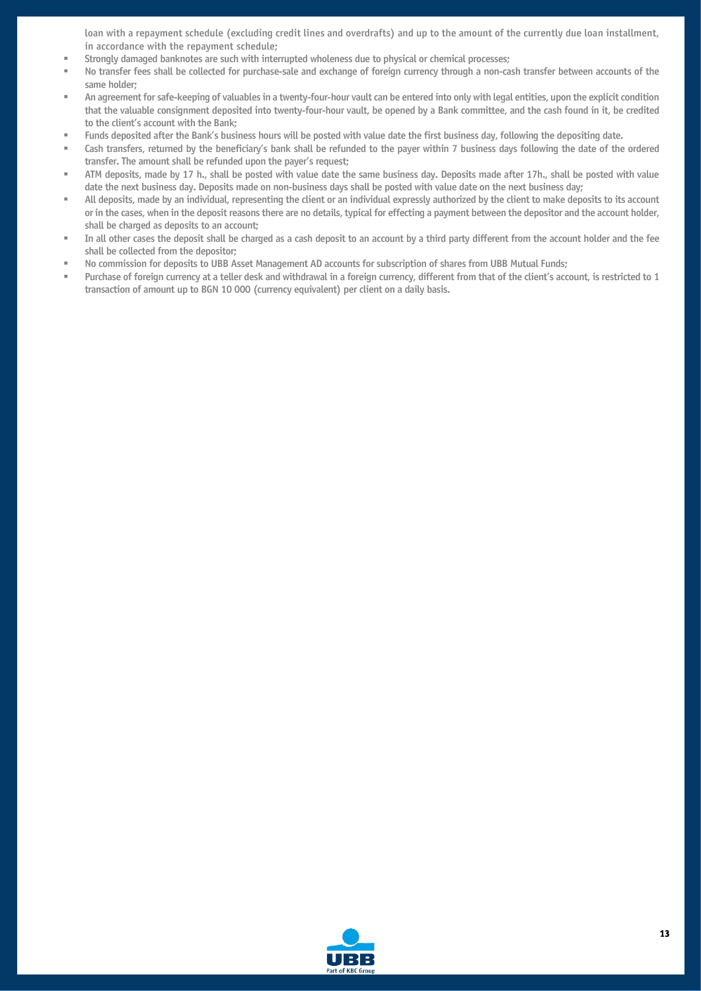loan with a repayment schedule (excluding credit lines and overdrafts) and up to the amount of the currently due loan installment, in accordance with the repayment schedule;

- Strongly damaged banknotes are such with interrupted wholeness due to physical or chemical processes;
- No transfer fees shall be collected for purchase-sale and exchange of foreign currency through a non-cash transfer between accounts of the same holder;
- An agreement for safe-keeping of valuables in a twenty-four-hour vault can be entered into only with legal entities, upon the explicit condition that the valuable consignment deposited into twenty-four-hour vault, be opened by a Bank committee, and the cash found in it, be credited to the client's account with the Bank;
- Funds deposited after the Bank's business hours will be posted with value date the first business day, following the depositing date.
- Cash transfers, returned by the beneficiary's bank shall be refunded to the payer within 7 business days following the date of the ordered transfer. The amount shall be refunded upon the payer's request;
- ATM deposits, made by 17 h., shall be posted with value date the same business day. Deposits made after 17h., shall be posted with value date the next business day. Deposits made on non-business days shall be posted with value date on the next business day;
- All deposits, made by an individual, representing the client or an individual expressly authorized by the client to make deposits to its account or in the cases, when in the deposit reasons there are no details, typical for effecting a payment between the depositor and the account holder, shall be charged as deposits to an account;
- In all other cases the deposit shall be charged as a cash deposit to an account by a third party different from the account holder and the fee shall be collected from the depositor;
- No commission for deposits to UBB Asset Management AD accounts for subscription of shares from UBB Mutual Funds;
- Purchase of foreign currency at a teller desk and withdrawal in a foreign currency, different from that of the client's account, is restricted to 1 transaction of amount up to BGN 10 000 (currency equivalent) per client on a daily basis.

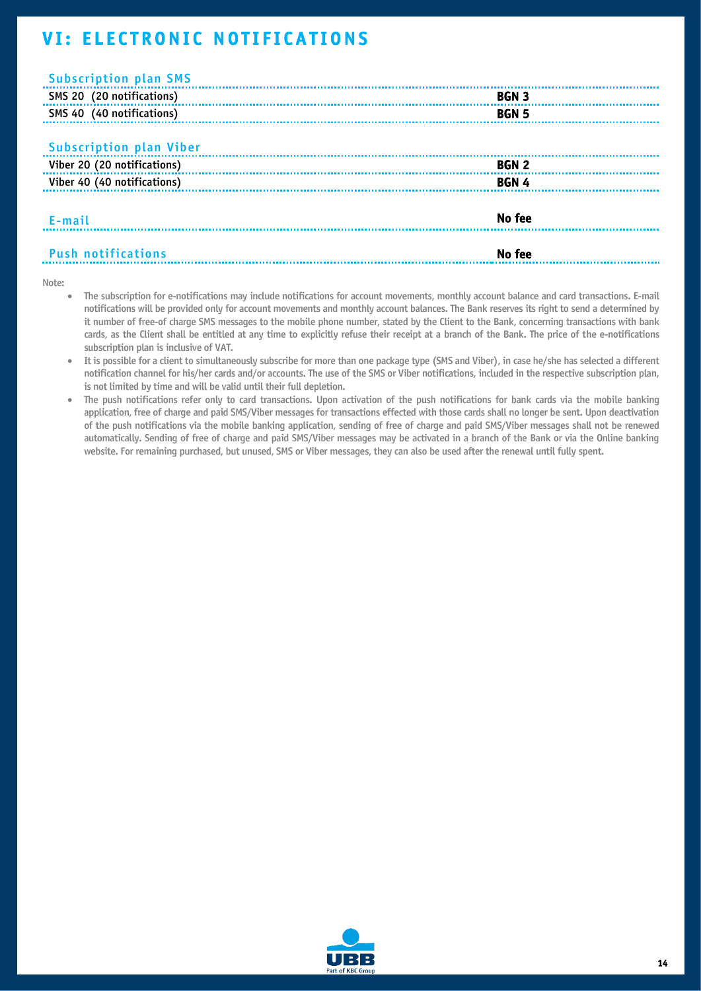# <span id="page-14-0"></span>**VI: ELECTRONIC NOTIFICATIONS**

| <b>Subscription plan SMS</b>   |              |  |
|--------------------------------|--------------|--|
| SMS 20 (20 notifications)      | <b>BGN 3</b> |  |
| SMS 40 (40 notifications)      | <b>BGN 5</b> |  |
|                                |              |  |
| <b>Subscription plan Viber</b> |              |  |
| Viber 20 (20 notifications)    | <b>BGN 2</b> |  |
| Viber 40 (40 notifications)    | <b>BGN4</b>  |  |
|                                |              |  |
| E-mail                         | No fee       |  |
|                                |              |  |
| <b>Push notifications</b>      | No fee       |  |

#### Note:

- The subscription for e-notifications may include notifications for account movements, monthly account balance and card transactions. Е-mail notifications will be provided only for account movements and monthly account balances. The Bank reserves its right to send a determined by it number of free-of charge SMS messages to the mobile phone number, stated by the Client to the Bank, concerning transactions with bank cards, as the Client shall be entitled at any time to explicitly refuse their receipt at a branch of the Bank. The price of the e-notifications subscription plan is inclusive of VAT.
- It is possible for a client to simultaneously subscribe for more than one package type (SMS and Viber), in case he/she has selected a different notification channel for his/her cards and/or accounts. The use of the SMS or Viber notifications, included in the respective subscription plan, is not limited by time and will be valid until their full depletion.
- The push notifications refer only to card transactions. Upon activation of the push notifications for bank cards via the mobile banking application, free of charge and paid SMS/Viber messages for transactions effected with those cards shall no longer be sent. Upon deactivation of the push notifications via the mobile banking application, sending of free of charge and paid SMS/Viber messages shall not be renewed automatically. Sending of free of charge and paid SMS/Viber messages may be activated in a branch of the Bank or via the Online banking website. For remaining purchased, but unused, SMS or Viber messages, they can also be used after the renewal until fully spent.

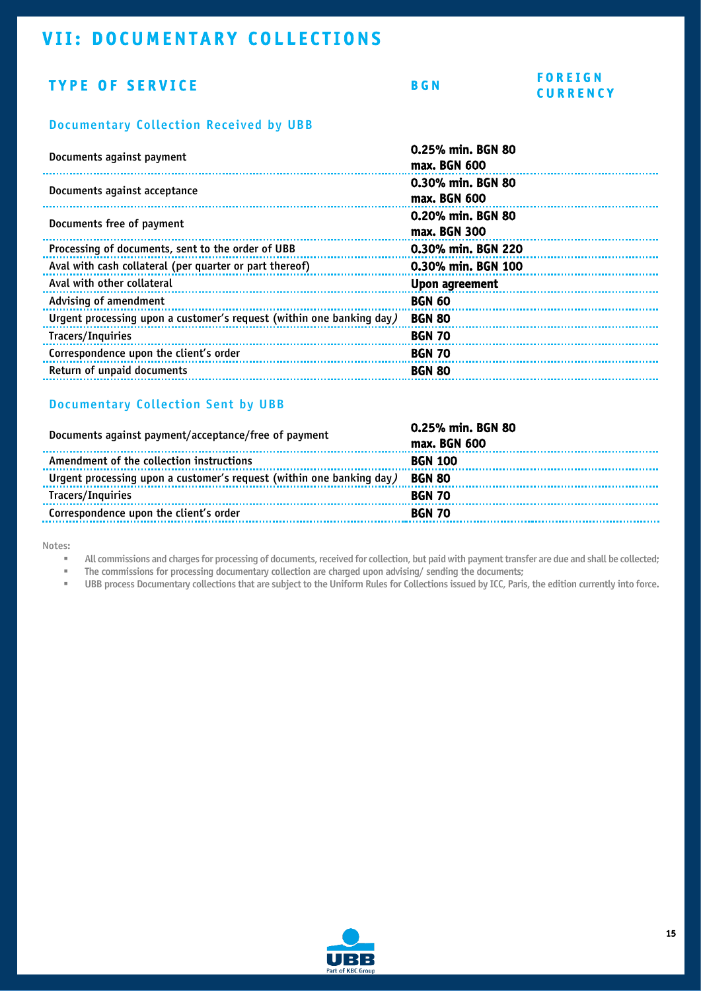# <span id="page-15-0"></span>VII: DOCUMENTARY COLLECTIONS

### TYPE OF SERVICE BGN

#### F O R E I G N **CURRENCY**

#### Documentary Collection Received by UBB

| Documents against payment                                            | 0.25% min. BGN 80<br>max. BGN 600 |
|----------------------------------------------------------------------|-----------------------------------|
| Documents against acceptance                                         | 0.30% min. BGN 80<br>max. BGN 600 |
| Documents free of payment                                            | 0.20% min. BGN 80<br>max. BGN 300 |
| Processing of documents, sent to the order of UBB                    | 0.30% min. BGN 220                |
| Aval with cash collateral (per quarter or part thereof)              | 0.30% min. BGN 100                |
| Aval with other collateral                                           | Upon agreement                    |
| Advising of amendment                                                | <b>BGN 60</b>                     |
| Urgent processing upon a customer's request (within one banking day) | <b>BGN 80</b>                     |
| Tracers/Inquiries                                                    | <b>BGN 70</b>                     |
| Correspondence upon the client's order                               | <b>BGN 70</b>                     |
| Return of unpaid documents                                           | <b>BGN 80</b>                     |
|                                                                      |                                   |

#### Documentary Collection Sent by UBB

| Documents against payment/acceptance/free of payment                 | 0.25% min. BGN 80<br>max. BGN 600 |
|----------------------------------------------------------------------|-----------------------------------|
| Amendment of the collection instructions                             | <b>BGN 100</b>                    |
| Urgent processing upon a customer's request (within one banking day) | <b>BGN 80</b>                     |
| Tracers/Inquiries                                                    | <b>BGN 70</b>                     |
| Correspondence upon the client's order                               | <b>BGN 70</b>                     |
|                                                                      |                                   |

Notes:

▪ All commissions and charges for processing of documents, received for collection, but paid with payment transfer are due and shall be collected;

**• The commissions for processing documentary collection are charged upon advising/ sending the documents;** 

▪ UBB process Documentary collections that are subject to the Uniform Rules for Collections issued by ICC, Paris, the edition currently into force.

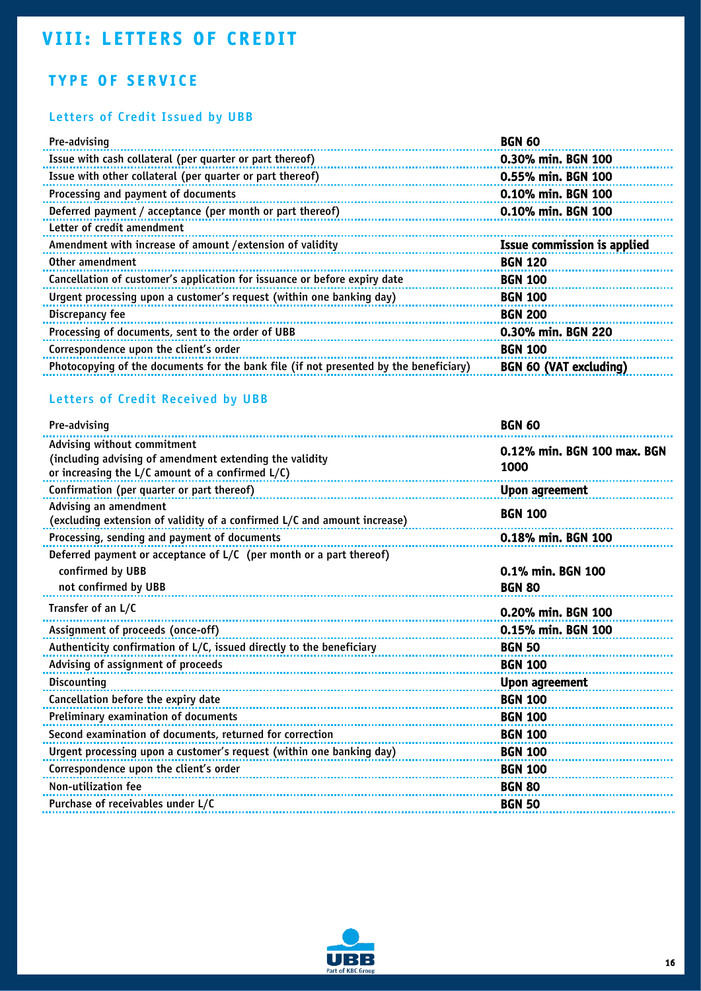# <span id="page-16-0"></span>**VIII: LETTERS OF CREDIT**

## TYPE OF SERVICE

### Letters of Credit Issued by UBB

| <b>BGN 60</b>                 |
|-------------------------------|
| 0.30% min. BGN 100            |
| 0.55% min. BGN 100            |
| 0.10% min. BGN 100            |
| 0.10% min. BGN 100            |
|                               |
| Issue commission is applied   |
| <b>BGN 120</b>                |
| <b>BGN 100</b>                |
| <b>BGN 100</b>                |
| <b>BGN 200</b>                |
| 0.30% min. BGN 220            |
| <b>BGN 100</b>                |
| <b>BGN 60 (VAT excluding)</b> |
|                               |

### Letters of Credit Received by UBB

| Pre-advising                                                                                                                                    | <b>BGN 60</b>                       |
|-------------------------------------------------------------------------------------------------------------------------------------------------|-------------------------------------|
| Advising without commitment<br>(including advising of amendment extending the validity<br>or increasing the $L/C$ amount of a confirmed $L/C$ ) | 0.12% min. BGN 100 max. BGN<br>1000 |
| Confirmation (per quarter or part thereof)                                                                                                      | Upon agreement                      |
| Advising an amendment<br>(excluding extension of validity of a confirmed L/C and amount increase)                                               | <b>BGN 100</b>                      |
| Processing, sending and payment of documents                                                                                                    | 0.18% min. BGN 100                  |
| Deferred payment or acceptance of L/C (per month or a part thereof)<br>confirmed by UBB<br>not confirmed by UBB                                 | 0.1% min. BGN 100<br><b>BGN 80</b>  |
| Transfer of an L/C                                                                                                                              | 0.20% min. BGN 100                  |
| Assignment of proceeds (once-off)                                                                                                               | 0.15% min. BGN 100                  |
| Authenticity confirmation of L/C, issued directly to the beneficiary                                                                            | <b>BGN 50</b>                       |
| Advising of assignment of proceeds                                                                                                              | <b>BGN 100</b>                      |
| Discounting                                                                                                                                     | Upon agreement                      |
| Cancellation before the expiry date                                                                                                             | <b>BGN 100</b>                      |
| Preliminary examination of documents                                                                                                            | <b>BGN 100</b>                      |
| Second examination of documents, returned for correction                                                                                        | <b>BGN 100</b>                      |
| Urgent processing upon a customer's request (within one banking day)                                                                            | <b>BGN 100</b>                      |
| Correspondence upon the client's order                                                                                                          | <b>BGN 100</b>                      |
| Non-utilization fee                                                                                                                             | <b>BGN 80</b>                       |
| Purchase of receivables under L/C                                                                                                               | <b>BGN 50</b>                       |

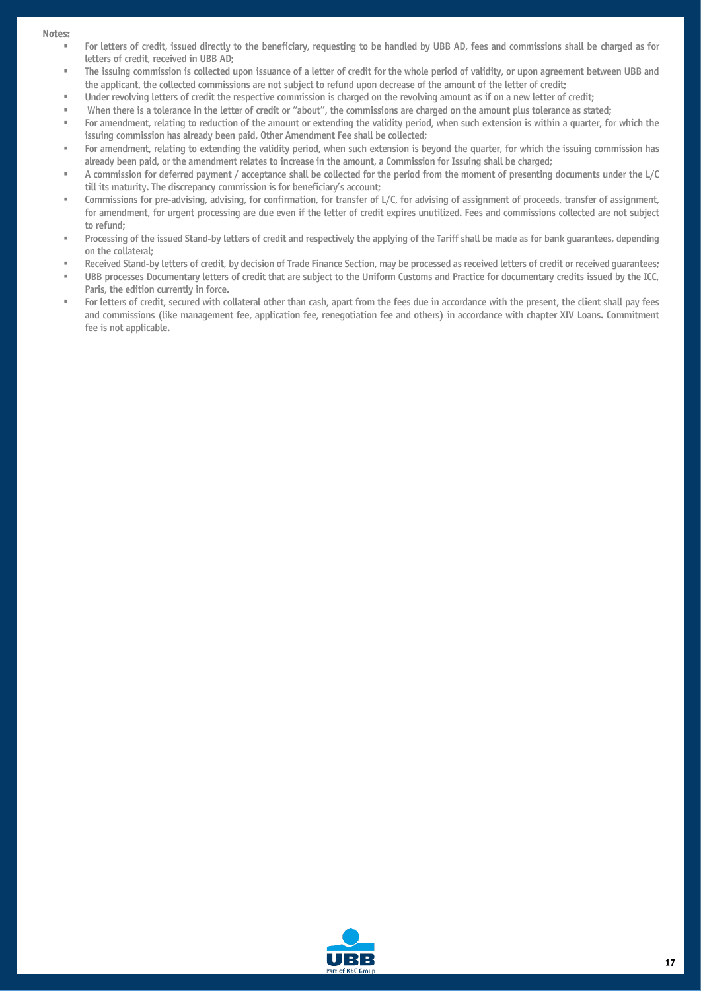#### Notes:

- For letters of credit, issued directly to the beneficiary, requesting to be handled by UBB AD, fees and commissions shall be charged as for letters of credit, received in UBB AD;
- The issuing commission is collected upon issuance of a letter of credit for the whole period of validity, or upon agreement between UBB and the applicant, the collected commissions are not subject to refund upon decrease of the amount of the letter of credit;
- Under revolving letters of credit the respective commission is charged on the revolving amount as if on a new letter of credit;
- When there is a tolerance in the letter of credit or "about", the commissions are charged on the amount plus tolerance as stated;
- For amendment, relating to reduction of the amount or extending the validity period, when such extension is within a quarter, for which the issuing commission has already been paid, Other Amendment Fee shall be collected;
- For amendment, relating to extending the validity period, when such extension is beyond the quarter, for which the issuing commission has already been paid, or the amendment relates to increase in the amount, a Commission for Issuing shall be charged;
- A commission for deferred payment / acceptance shall be collected for the period from the moment of presenting documents under the L/C till its maturity. The discrepancy commission is for beneficiary's account;
- Commissions for pre-advising, advising, for confirmation, for transfer of L/C, for advising of assignment of proceeds, transfer of assignment, for amendment, for urgent processing are due even if the letter of credit expires unutilized. Fees and commissions collected are not subject to refund;
- Processing of the issued Stand-by letters of credit and respectively the applying of the Tariff shall be made as for bank guarantees, depending on the collateral;
- Received Stand-by letters of credit, by decision of Trade Finance Section, may be processed as received letters of credit or received quarantees;
- UBB processes Documentary letters of credit that are subject to the Uniform Customs and Practice for documentary credits issued by the ICC, Paris, the edition currently in force.
- For letters of credit, secured with collateral other than cash, apart from the fees due in accordance with the present, the client shall pay fees and commissions (like management fee, application fee, renegotiation fee and others) in accordance with chapter XIV Loans. Commitment fee is not applicable.

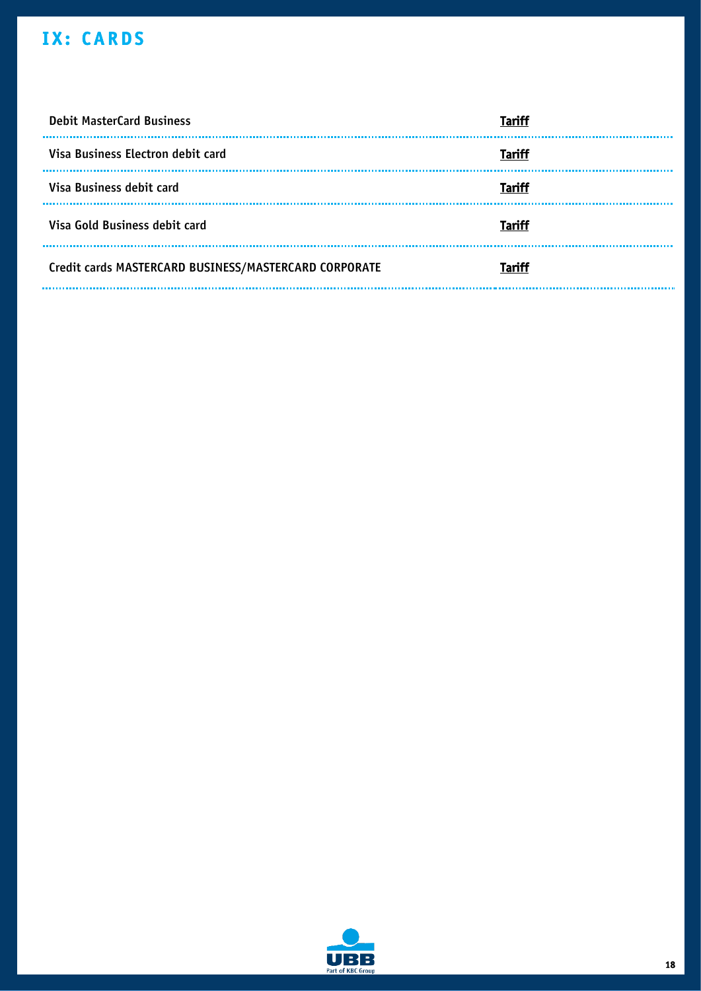# <span id="page-18-0"></span>IX: CARDS

| <b>Debit MasterCard Business</b>                      | Tariff        |
|-------------------------------------------------------|---------------|
| Visa Business Electron debit card                     | Tariff        |
| Visa Business debit card                              | Tariff        |
| Visa Gold Business debit card                         | <b>Tariff</b> |
| Credit cards MASTERCARD BUSINESS/MASTERCARD CORPORATE | <b>Tariff</b> |

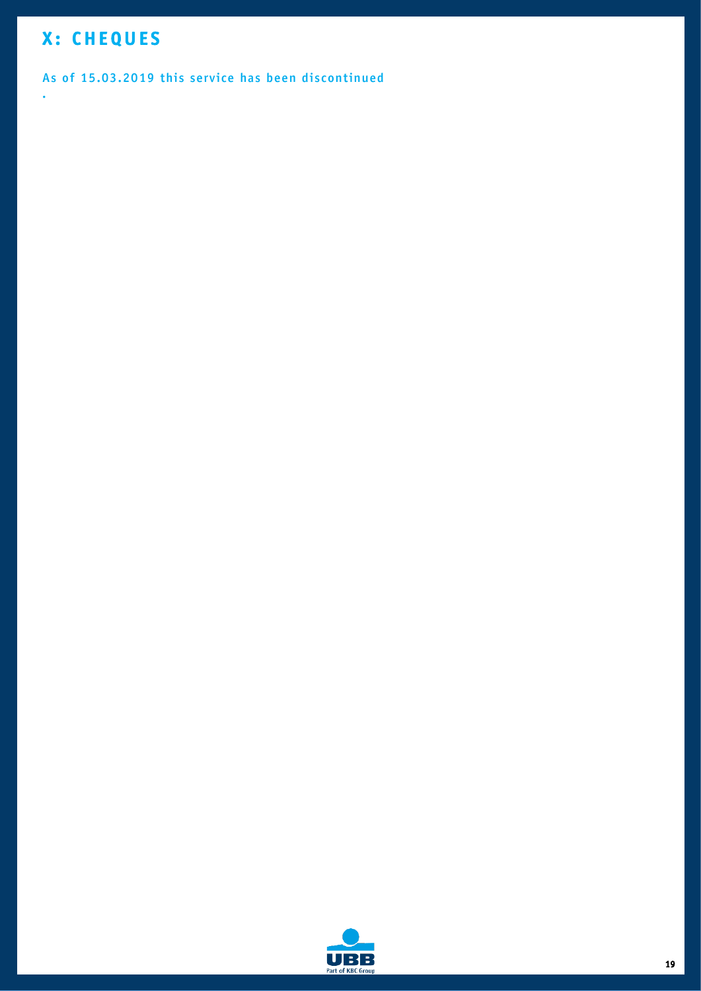# <span id="page-19-0"></span>X: CHEQUES

.

#### As of 15.03.2019 this service has been discontinued

B UR Part of KBC Group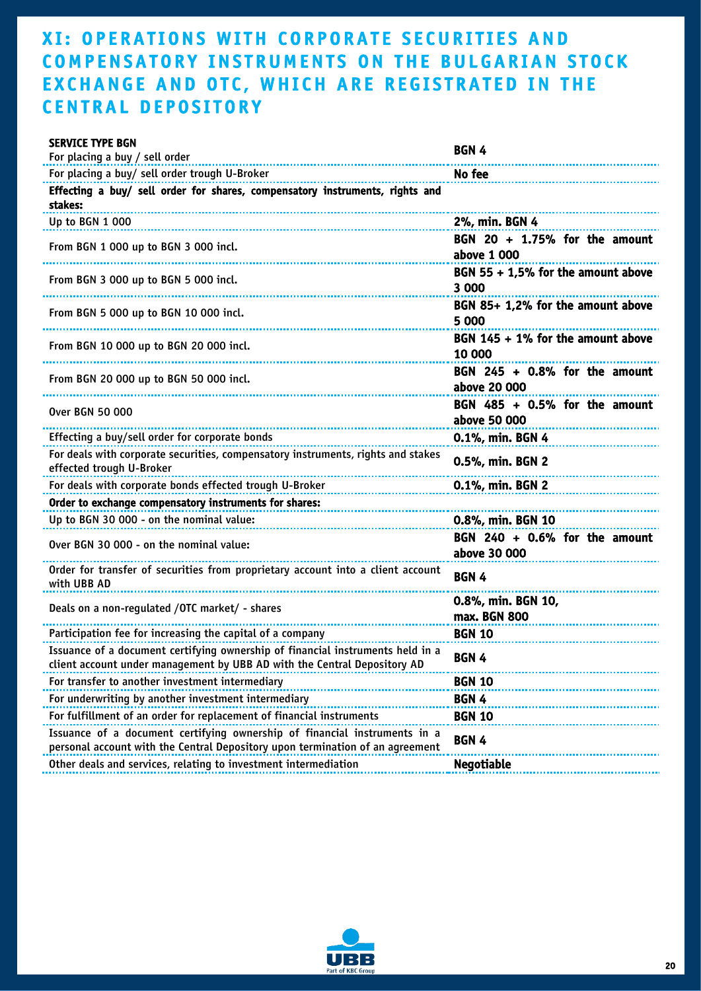# <span id="page-20-0"></span>XI: OPERATIONS WITH CORPORATE SECURITIES AND COMPENSATORY INSTRUMENTS ON THE BULGARIAN STOCK EXCHANGE AND OTC, WHICH ARE REGISTRATED IN THE **CENTRAL DEPOSITORY**

| <b>SERVICE TYPE BGN</b>                                                                                                                                    | BGN 4                                            |
|------------------------------------------------------------------------------------------------------------------------------------------------------------|--------------------------------------------------|
| For placing a buy / sell order                                                                                                                             |                                                  |
| For placing a buy/ sell order trough U-Broker                                                                                                              | No fee                                           |
| Effecting a buy/ sell order for shares, compensatory instruments, rights and<br>stakes:                                                                    |                                                  |
| Up to BGN 1 000                                                                                                                                            | 2%, min. BGN 4                                   |
| From BGN 1 000 up to BGN 3 000 incl.                                                                                                                       | BGN 20 + 1.75% for the amount<br>above 1 000     |
| From BGN 3 000 up to BGN 5 000 incl.                                                                                                                       | BGN 55 + 1,5% for the amount above<br>3 000      |
| From BGN 5 000 up to BGN 10 000 incl.                                                                                                                      | BGN 85+ 1,2% for the amount above<br>5 000       |
| From BGN 10 000 up to BGN 20 000 incl.                                                                                                                     | BGN $145 + 1\%$ for the amount above<br>10 000   |
| From BGN 20 000 up to BGN 50 000 incl.                                                                                                                     | BGN $245 + 0.8\%$ for the amount<br>above 20 000 |
| Over BGN 50 000                                                                                                                                            | BGN $485 + 0.5\%$ for the amount<br>above 50 000 |
| Effecting a buy/sell order for corporate bonds                                                                                                             | 0.1%, min. BGN 4                                 |
| For deals with corporate securities, compensatory instruments, rights and stakes<br>effected trough U-Broker                                               | 0.5%, min. BGN 2                                 |
| For deals with corporate bonds effected trough U-Broker                                                                                                    | 0.1%, min. BGN 2                                 |
| Order to exchange compensatory instruments for shares:                                                                                                     |                                                  |
| Up to BGN 30 000 - on the nominal value:                                                                                                                   | 0.8%, min. BGN 10                                |
| Over BGN 30 000 - on the nominal value:                                                                                                                    | BGN $240 + 0.6\%$ for the amount<br>above 30 000 |
| Order for transfer of securities from proprietary account into a client account<br>with UBB AD                                                             | <b>BGN4</b>                                      |
| Deals on a non-regulated / OTC market/ - shares                                                                                                            | 0.8%, min. BGN 10,<br>max. BGN 800               |
| Participation fee for increasing the capital of a company                                                                                                  | <b>BGN 10</b>                                    |
| Issuance of a document certifying ownership of financial instruments held in a<br>client account under management by UBB AD with the Central Depository AD | BGN 4                                            |
| For transfer to another investment intermediary                                                                                                            | <b>BGN 10</b>                                    |
| For underwriting by another investment intermediary                                                                                                        | BGN 4                                            |
| For fulfillment of an order for replacement of financial instruments                                                                                       | <b>BGN 10</b>                                    |
| Issuance of a document certifying ownership of financial instruments in a<br>personal account with the Central Depository upon termination of an agreement | <b>BGN 4</b>                                     |
| Other deals and services, relating to investment intermediation                                                                                            | <b>Negotiable</b>                                |

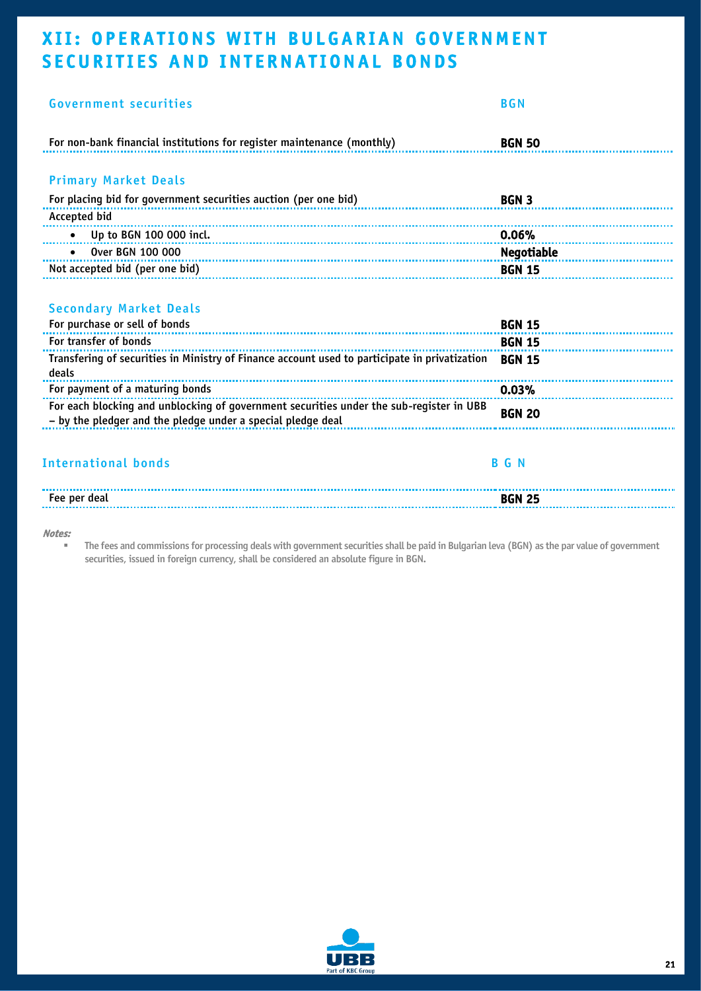# <span id="page-21-0"></span>XII: OPERATIONS WITH BULGARIAN GOVERNMENT SECURITIES AND INTERNATIONAL BONDS

| <b>Government securities</b>                                                                                                                           | <b>BGN</b>    |
|--------------------------------------------------------------------------------------------------------------------------------------------------------|---------------|
| For non-bank financial institutions for register maintenance (monthly)                                                                                 | <b>BGN 50</b> |
| <b>Primary Market Deals</b>                                                                                                                            |               |
| For placing bid for government securities auction (per one bid)                                                                                        | <b>BGN 3</b>  |
| Accepted bid                                                                                                                                           |               |
| Up to BGN 100 000 incl.<br>$\bullet$                                                                                                                   | 0.06%<br>     |
| Over BGN 100 000                                                                                                                                       | Negotiable    |
| Not accepted bid (per one bid)<br>Not accepted bid (per one bid)                                                                                       | <b>BGN 15</b> |
| <b>Secondary Market Deals</b><br>For purchase or sell of bonds                                                                                         | <b>BGN 15</b> |
| For transfer of bonds                                                                                                                                  | <b>BGN 15</b> |
| Transfering of securities in Ministry of Finance account used to participate in privatization<br>deals                                                 | <b>BGN 15</b> |
| For payment of a maturing bonds                                                                                                                        | 0.03%         |
| For each blocking and unblocking of government securities under the sub-register in UBB<br>- by the pledger and the pledge under a special pledge deal | <b>BGN 20</b> |
| <b>International bonds</b>                                                                                                                             | <b>BGN</b>    |
| Fee per deal                                                                                                                                           | <b>BGN 25</b> |
|                                                                                                                                                        |               |

#### Notes:

▪ The fees and commissions for processing deals with government securities shall be paid in Bulgarian leva (BGN) as the par value of government securities, issued in foreign currency, shall be considered an absolute figure in BGN.

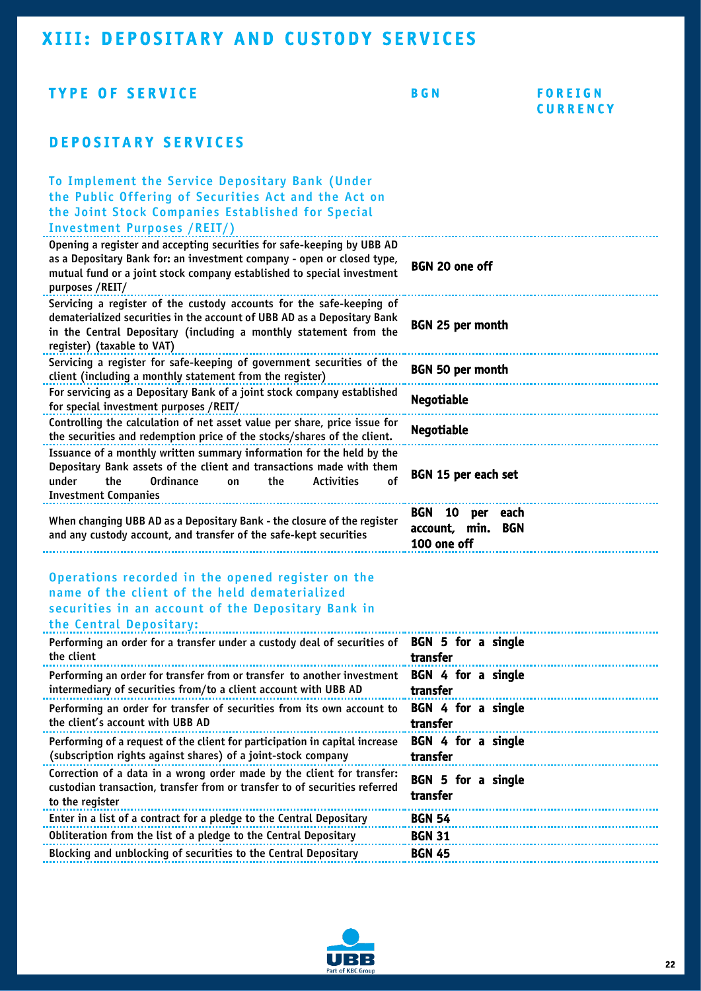### <span id="page-22-0"></span>XIII: DEPOSITARY AND CUSTODY SERVICES

#### TYPE OF SERVICE BGN F O R E I G N **CURRENCY** DEPOSITARY SERVICES To Implement the Service Depositary Bank (Under the Public Offering of Securities Act and the Act on the Joint Stock Companies Established for Special Investment Purposes /REIT/) Opening a register and accepting securities for safe-keeping by UBB AD as a Depositary Bank for: an investment company - open or closed type, mutual fund or a joint stock company established to special investment purposes /REIT/ BGN 20 one off Servicing a register of the custody accounts for the safe-keeping of dematerialized securities in the account of UBB AD as a Depositary Bank in the Central Depositary (including a monthly statement from the register) (taxable to VAT) BGN 25 per month Servicing a register for safe-keeping of government securities of the client (including a monthly statement from the register) BGN 50 per month For servicing as a Depositary Bank of a joint stock company established for servicing as a bepositing bank of a joint stock company established **Negotiable**<br>for special investment purposes /REIT/ Controlling the calculation of net asset value per share, price issue for the securities and redemption price of the stocks/shares of the client. Negotiable Issuance of a monthly written summary information for the held by the Depositary Bank assets of the client and transactions made with them under the Ordinance on the Activities of Investment Companies BGN 15 per each set When changing UBB AD as a Depositary Bank - the closure of the register and any custody account, and transfer of the safe-kept securities BGN 10 per each account, min. BGN 100 one off Operations recorded in the opened register on the name of the client of the held dematerialized securities in an account of the Depositary Bank in the Central Depositary: Performing an order for a transfer under a custody deal of securities of the client BGN 5 for a single transfer Performing an order for transfer from or transfer to another investment intermediary of securities from/to a client account with UBB AD BGN 4 for a single transfer Performing an order for transfer of securities from its own account to the client's account with UBB AD BGN 4 for a single transfer Performing of a request of the client for participation in capital increase (subscription rights against shares) of a joint-stock company BGN 4 for a single transfer Correction of a data in a wrong order made by the client for transfer: custodian transaction, transfer from or transfer to of securities referred to the register BGN 5 for a single transfer Enter in a list of a contract for a pledge to the Central Depositary BGN 54 Obliteration from the list of a pledge to the Central Depositary **BGN 31** Blocking and unblocking of securities to the Central Depositary **BGN 45**

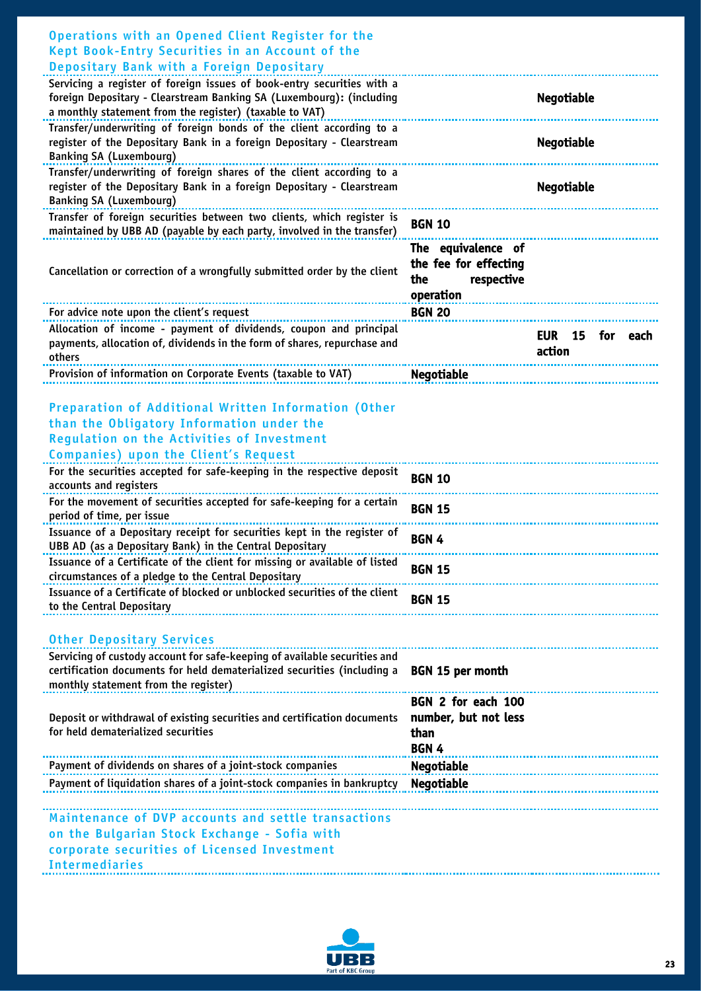| Operations with an Opened Client Register for the<br>Kept Book-Entry Securities in an Account of the                                           |                                                                               |
|------------------------------------------------------------------------------------------------------------------------------------------------|-------------------------------------------------------------------------------|
| Depositary Bank with a Foreign Depositary                                                                                                      |                                                                               |
| Servicing a register of foreign issues of book-entry securities with a<br>foreign Depositary - Clearstream Banking SA (Luxembourg): (including | Negotiable                                                                    |
| a monthly statement from the register) (taxable to VAT)                                                                                        |                                                                               |
| Transfer/underwriting of foreign bonds of the client according to a                                                                            |                                                                               |
| register of the Depositary Bank in a foreign Depositary - Clearstream                                                                          | <b>Negotiable</b>                                                             |
| <b>Banking SA (Luxembourg)</b>                                                                                                                 |                                                                               |
| Transfer/underwriting of foreign shares of the client according to a                                                                           |                                                                               |
| register of the Depositary Bank in a foreign Depositary - Clearstream<br><b>Banking SA (Luxembourg)</b>                                        | Negotiable                                                                    |
| Transfer of foreign securities between two clients, which register is                                                                          |                                                                               |
| maintained by UBB AD (payable by each party, involved in the transfer)                                                                         | <b>BGN 10</b>                                                                 |
| Cancellation or correction of a wrongfully submitted order by the client                                                                       | The equivalence of<br>the fee for effecting<br>respective<br>the<br>operation |
| For advice note upon the client's request                                                                                                      | <b>BGN 20</b>                                                                 |
| Allocation of income - payment of dividends, coupon and principal<br>payments, allocation of, dividends in the form of shares, repurchase and  | for<br><b>EUR</b><br>15<br>each<br>action                                     |
| others                                                                                                                                         |                                                                               |
| Provision of information on Corporate Events (taxable to VAT)                                                                                  | <b>Negotiable</b>                                                             |
| <b>Preparation of Additional Written Information (Other</b>                                                                                    |                                                                               |
| than the Obligatory Information under the                                                                                                      |                                                                               |
| <b>Regulation on the Activities of Investment</b>                                                                                              |                                                                               |
| <b>Companies</b> ) upon the Client's Request                                                                                                   |                                                                               |
| For the securities accepted for safe-keeping in the respective deposit                                                                         |                                                                               |
| accounts and registers                                                                                                                         | <b>BGN 10</b>                                                                 |
| For the movement of securities accepted for safe-keeping for a certain<br>period of time, per issue                                            | <b>BGN 15</b>                                                                 |
| Issuance of a Depositary receipt for securities kept in the register of<br>UBB AD (as a Depositary Bank) in the Central Depositary             | BGN 4                                                                         |
| Issuance of a Certificate of the client for missing or available of listed<br>circumstances of a pledge to the Central Depositary              | <b>BGN 15</b>                                                                 |
| Issuance of a Certificate of blocked or unblocked securities of the client<br>to the Central Depositary                                        | <b>BGN 15</b>                                                                 |
| <b>Other Depositary Services</b>                                                                                                               |                                                                               |
| Servicing of custody account for safe-keeping of available securities and                                                                      |                                                                               |
| certification documents for held dematerialized securities (including a<br>monthly statement from the register)                                | <b>BGN 15 per month</b>                                                       |
|                                                                                                                                                | BGN 2 for each 100                                                            |
| Deposit or withdrawal of existing securities and certification documents                                                                       | number, but not less                                                          |
| for held dematerialized securities                                                                                                             | than                                                                          |
|                                                                                                                                                | BGN 4                                                                         |
| Payment of dividends on shares of a joint-stock companies                                                                                      | <b>Negotiable</b>                                                             |
| Payment of liquidation shares of a joint-stock companies in bankruptcy                                                                         | <b>Negotiable</b>                                                             |
| Maintenance of DVP accounts and settle transactions                                                                                            |                                                                               |
| on the Bulgarian Stock Exchange - Sofia with                                                                                                   |                                                                               |
| corporate securities of Licensed Investment                                                                                                    |                                                                               |
| <b>Intermediaries</b>                                                                                                                          |                                                                               |
|                                                                                                                                                |                                                                               |

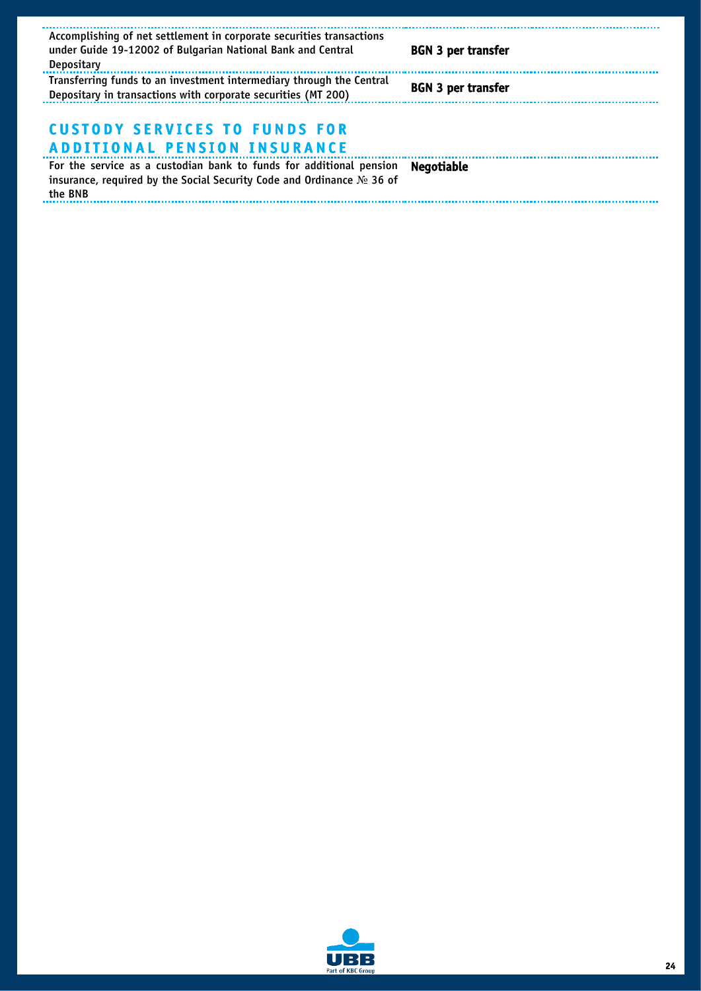| Accomplishing of net settlement in corporate securities transactions<br>under Guide 19-12002 of Bulgarian National Bank and Central<br>Depositary           | <b>BGN 3 per transfer</b> |
|-------------------------------------------------------------------------------------------------------------------------------------------------------------|---------------------------|
| Transferring funds to an investment intermediary through the Central<br>Depositary in transactions with corporate securities (MT 200)                       | <b>BGN 3 per transfer</b> |
| <b>CUSTODY SERVICES TO FUNDS FOR</b><br><b>ADDITIONAL PENSION INSURANCE</b>                                                                                 |                           |
| For the service as a custodian bank to funds for additional pension<br>insurance, required by the Social Security Code and Ordinance $N_2$ 36 of<br>the BNB | <b>Negotiable</b>         |

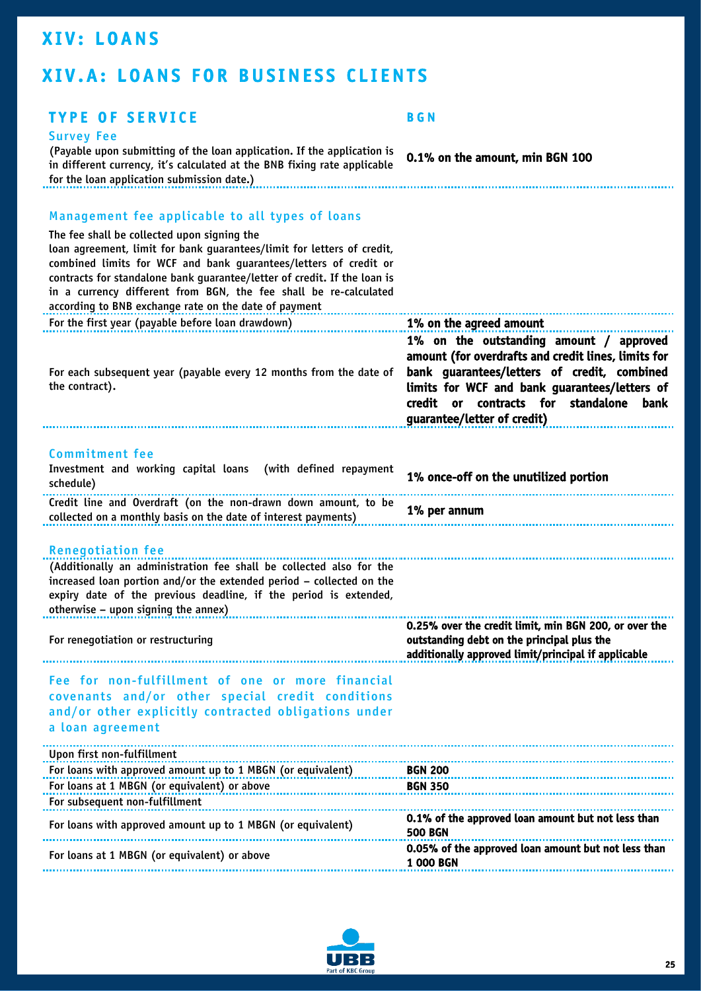## <span id="page-25-0"></span>**XIV: LOANS**

# <span id="page-25-1"></span>XIV.A: LOANS FOR BUSINESS CLIENTS

#### TYPE OF SERVICE BGN

#### Survey Fee

(Payable upon submitting of the loan application. If the application is in different currency, it's calculated at the BNB fixing rate applicable for the loan application submission date.)<br>The loan application submission date.)

0.1% on the amount, min BGN 100

### Management fee applicable to all types of loans

| The fee shall be collected upon signing the<br>loan agreement, limit for bank guarantees/limit for letters of credit,<br>combined limits for WCF and bank guarantees/letters of credit or<br>contracts for standalone bank guarantee/letter of credit. If the loan is<br>in a currency different from BGN, the fee shall be re-calculated<br>according to BNB exchange rate on the date of payment |                                                                                                                                                                                                                                                                             |
|----------------------------------------------------------------------------------------------------------------------------------------------------------------------------------------------------------------------------------------------------------------------------------------------------------------------------------------------------------------------------------------------------|-----------------------------------------------------------------------------------------------------------------------------------------------------------------------------------------------------------------------------------------------------------------------------|
| For the first year (payable before loan drawdown)                                                                                                                                                                                                                                                                                                                                                  | 1% on the agreed amount                                                                                                                                                                                                                                                     |
| For each subsequent year (payable every 12 months from the date of<br>the contract).                                                                                                                                                                                                                                                                                                               | 1% on the outstanding amount / approved<br>amount (for overdrafts and credit lines, limits for<br>bank guarantees/letters of credit, combined<br>limits for WCF and bank guarantees/letters of<br>credit or contracts for standalone<br>bank<br>guarantee/letter of credit) |
| <b>Commitment fee</b>                                                                                                                                                                                                                                                                                                                                                                              |                                                                                                                                                                                                                                                                             |
| Investment and working capital loans (with defined repayment<br>schedule)                                                                                                                                                                                                                                                                                                                          | 1% once-off on the unutilized portion                                                                                                                                                                                                                                       |
| Credit line and Overdraft (on the non-drawn down amount, to be<br>collected on a monthly basis on the date of interest payments)                                                                                                                                                                                                                                                                   | 1% per annum                                                                                                                                                                                                                                                                |
| <b>Renegotiation fee</b><br>(Additionally an administration fee shall be collected also for the<br>increased loan portion and/or the extended period - collected on the<br>expiry date of the previous deadline, if the period is extended,<br>otherwise - upon signing the annex)                                                                                                                 |                                                                                                                                                                                                                                                                             |
| For renegotiation or restructuring                                                                                                                                                                                                                                                                                                                                                                 | 0.25% over the credit limit, min BGN 200, or over the<br>outstanding debt on the principal plus the<br>additionally approved limit/principal if applicable                                                                                                                  |
| Fee for non-fulfillment of one or more financial<br>covenants and/or other special credit conditions<br>and/or other explicitly contracted obligations under<br>a loan agreement                                                                                                                                                                                                                   |                                                                                                                                                                                                                                                                             |
| Upon first non-fulfillment                                                                                                                                                                                                                                                                                                                                                                         |                                                                                                                                                                                                                                                                             |
| For loans with approved amount up to 1 MBGN (or equivalent)                                                                                                                                                                                                                                                                                                                                        | <b>BGN 200</b>                                                                                                                                                                                                                                                              |
| For loans at 1 MBGN (or equivalent) or above                                                                                                                                                                                                                                                                                                                                                       | <b>BGN 350</b>                                                                                                                                                                                                                                                              |
| For subsequent non-fulfillment                                                                                                                                                                                                                                                                                                                                                                     |                                                                                                                                                                                                                                                                             |
| For loans with approved amount up to 1 MBGN (or equivalent)                                                                                                                                                                                                                                                                                                                                        | 0.1% of the approved loan amount but not less than<br><b>500 BGN</b>                                                                                                                                                                                                        |
| For loans at 1 MBGN (or equivalent) or above                                                                                                                                                                                                                                                                                                                                                       | 0.05% of the approved loan amount but not less than<br><b>1 000 BGN</b>                                                                                                                                                                                                     |
|                                                                                                                                                                                                                                                                                                                                                                                                    |                                                                                                                                                                                                                                                                             |

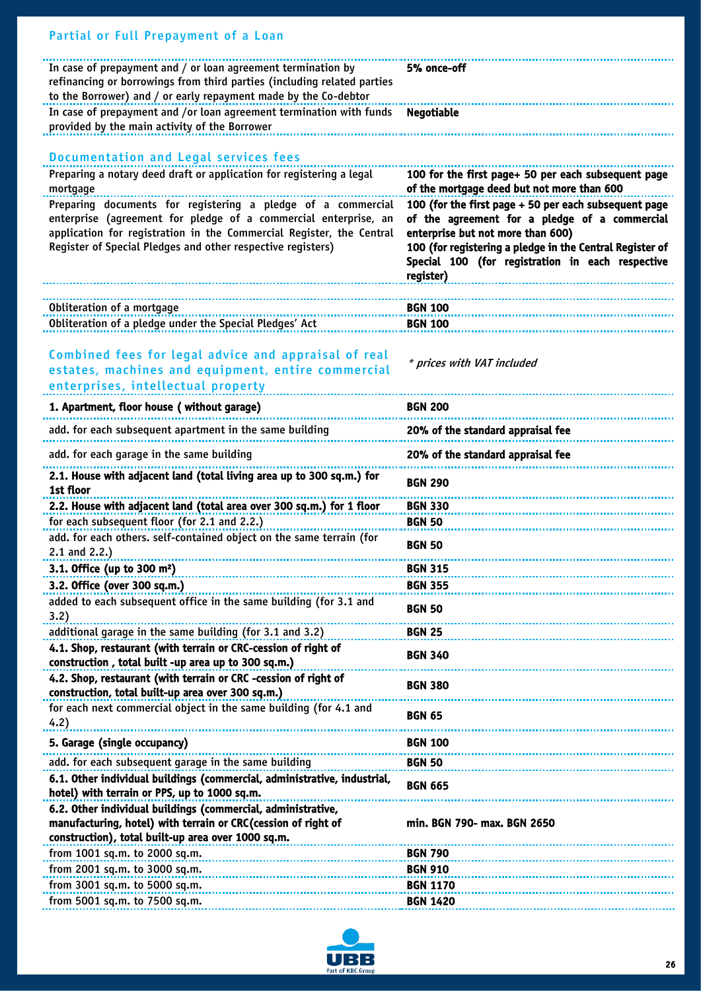| Partial or Full Prepayment of a Loan                                                                                                                                                                                                                                   |                                                                                                                                                                                                                                                                          |
|------------------------------------------------------------------------------------------------------------------------------------------------------------------------------------------------------------------------------------------------------------------------|--------------------------------------------------------------------------------------------------------------------------------------------------------------------------------------------------------------------------------------------------------------------------|
| In case of prepayment and / or loan agreement termination by<br>refinancing or borrowings from third parties (including related parties<br>to the Borrower) and / or early repayment made by the Co-debtor                                                             | 5% once-off                                                                                                                                                                                                                                                              |
| In case of prepayment and /or loan agreement termination with funds<br>provided by the main activity of the Borrower                                                                                                                                                   | <b>Negotiable</b>                                                                                                                                                                                                                                                        |
|                                                                                                                                                                                                                                                                        |                                                                                                                                                                                                                                                                          |
| <b>Documentation and Legal services fees</b><br>Preparing a notary deed draft or application for registering a legal                                                                                                                                                   | 100 for the first page+ 50 per each subsequent page                                                                                                                                                                                                                      |
| mortgage                                                                                                                                                                                                                                                               | of the mortgage deed but not more than 600                                                                                                                                                                                                                               |
| Preparing documents for registering a pledge of a commercial<br>enterprise (agreement for pledge of a commercial enterprise, an<br>application for registration in the Commercial Register, the Central<br>Register of Special Pledges and other respective registers) | 100 (for the first page + 50 per each subsequent page<br>of the agreement for a pledge of a commercial<br>enterprise but not more than 600)<br>100 (for registering a pledge in the Central Register of<br>Special 100 (for registration in each respective<br>register) |
| Obliteration of a mortgage                                                                                                                                                                                                                                             | <b>BGN 100</b>                                                                                                                                                                                                                                                           |
| Obliteration of a pledge under the Special Pledges' Act                                                                                                                                                                                                                | <b>BGN 100</b>                                                                                                                                                                                                                                                           |
| Combined fees for legal advice and appraisal of real<br>estates, machines and equipment, entire commercial<br>enterprises, intellectual property                                                                                                                       | * prices with VAT included                                                                                                                                                                                                                                               |
| 1. Apartment, floor house (without garage)                                                                                                                                                                                                                             | <b>BGN 200</b>                                                                                                                                                                                                                                                           |
| add. for each subsequent apartment in the same building                                                                                                                                                                                                                | 20% of the standard appraisal fee                                                                                                                                                                                                                                        |
| add. for each garage in the same building                                                                                                                                                                                                                              | 20% of the standard appraisal fee                                                                                                                                                                                                                                        |
| 2.1. House with adjacent land (total living area up to 300 sq.m.) for<br>1st floor                                                                                                                                                                                     | <b>BGN 290</b>                                                                                                                                                                                                                                                           |
| 2.2. House with adjacent land (total area over 300 sq.m.) for 1 floor                                                                                                                                                                                                  | <b>BGN 330</b>                                                                                                                                                                                                                                                           |
| for each subsequent floor (for 2.1 and 2.2.)                                                                                                                                                                                                                           | <b>BGN 50</b>                                                                                                                                                                                                                                                            |
| add. for each others. self-contained object on the same terrain (for<br>$2.1$ and $2.2$ .)                                                                                                                                                                             | <b>BGN 50</b>                                                                                                                                                                                                                                                            |
| 3.1. Office (up to 300 $m^2$ )                                                                                                                                                                                                                                         | <b>BGN 315</b>                                                                                                                                                                                                                                                           |
| 3.2. Office (over 300 sq.m.)                                                                                                                                                                                                                                           | <b>BGN 355</b>                                                                                                                                                                                                                                                           |
| added to each subsequent office in the same building (for 3.1 and<br>3.2)                                                                                                                                                                                              | <b>BGN 50</b>                                                                                                                                                                                                                                                            |
| additional garage in the same building (for 3.1 and 3.2)                                                                                                                                                                                                               | <b>BGN 25</b>                                                                                                                                                                                                                                                            |
| 4.1. Shop, restaurant (with terrain or CRC-cession of right of<br>construction, total built -up area up to 300 sq.m.)                                                                                                                                                  | <b>BGN 340</b>                                                                                                                                                                                                                                                           |
| 4.2. Shop, restaurant (with terrain or CRC -cession of right of<br>construction, total built-up area over 300 sq.m.)                                                                                                                                                   | <b>BGN 380</b>                                                                                                                                                                                                                                                           |
| for each next commercial object in the same building (for 4.1 and<br>4.2)                                                                                                                                                                                              | <b>BGN 65</b>                                                                                                                                                                                                                                                            |
| 5. Garage (single occupancy)                                                                                                                                                                                                                                           | <b>BGN 100</b>                                                                                                                                                                                                                                                           |
| add. for each subsequent garage in the same building                                                                                                                                                                                                                   | <b>BGN 50</b>                                                                                                                                                                                                                                                            |
| 6.1. Other individual buildings (commercial, administrative, industrial,<br>hotel) with terrain or PPS, up to 1000 sq.m.                                                                                                                                               | <b>BGN 665</b>                                                                                                                                                                                                                                                           |
| 6.2. Other individual buildings (commercial, administrative,<br>manufacturing, hotel) with terrain or CRC (cession of right of<br>construction), total built-up area over 1000 sq.m.                                                                                   | min. BGN 790- max. BGN 2650                                                                                                                                                                                                                                              |
| from 1001 sq.m. to 2000 sq.m.                                                                                                                                                                                                                                          | <b>BGN 790</b>                                                                                                                                                                                                                                                           |
| from 2001 sq.m. to 3000 sq.m.                                                                                                                                                                                                                                          | <b>BGN 910</b>                                                                                                                                                                                                                                                           |
| from 3001 sq.m. to 5000 sq.m.                                                                                                                                                                                                                                          | <b>BGN 1170</b>                                                                                                                                                                                                                                                          |
| from 5001 sq.m. to 7500 sq.m.                                                                                                                                                                                                                                          | <b>BGN 1420</b>                                                                                                                                                                                                                                                          |

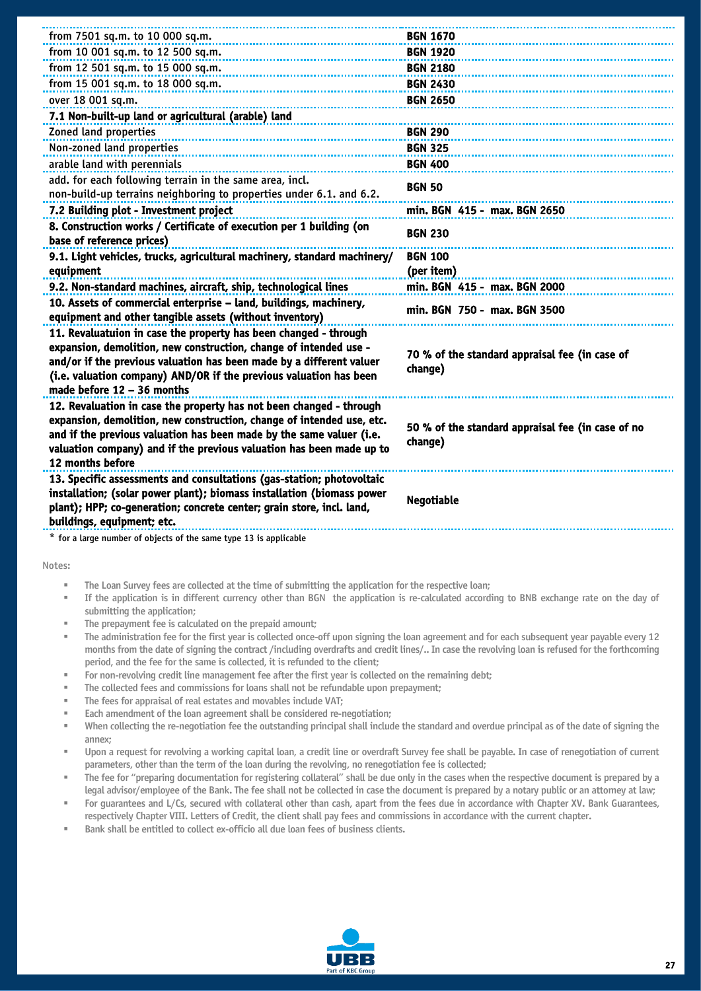| from 7501 sq.m. to 10 000 sq.m.                                                                                                                                                                                                                                                                                                                       | <b>BGN 1670</b>                                              |
|-------------------------------------------------------------------------------------------------------------------------------------------------------------------------------------------------------------------------------------------------------------------------------------------------------------------------------------------------------|--------------------------------------------------------------|
| from 10 001 sq.m. to 12 500 sq.m.                                                                                                                                                                                                                                                                                                                     | <b>BGN 1920</b>                                              |
| from 12 501 sq.m. to 15 000 sq.m.                                                                                                                                                                                                                                                                                                                     | <b>BGN 2180</b>                                              |
| from 15 001 sq.m. to 18 000 sq.m.                                                                                                                                                                                                                                                                                                                     | <b>BGN 2430</b>                                              |
| over 18 001 sq.m.                                                                                                                                                                                                                                                                                                                                     | <b>BGN 2650</b>                                              |
| 7.1 Non-built-up land or agricultural (arable) land                                                                                                                                                                                                                                                                                                   |                                                              |
| Zoned land properties                                                                                                                                                                                                                                                                                                                                 | <b>BGN 290</b>                                               |
| Non-zoned land properties                                                                                                                                                                                                                                                                                                                             | <b>BGN 325</b>                                               |
| arable land with perennials                                                                                                                                                                                                                                                                                                                           | <b>BGN 400</b>                                               |
| add. for each following terrain in the same area, incl.                                                                                                                                                                                                                                                                                               | <b>BGN 50</b>                                                |
| non-build-up terrains neighboring to properties under 6.1. and 6.2.                                                                                                                                                                                                                                                                                   |                                                              |
| 7.2 Building plot - Investment project                                                                                                                                                                                                                                                                                                                | min. BGN 415 - max. BGN 2650                                 |
| 8. Construction works / Certificate of execution per 1 building (on<br>base of reference prices)                                                                                                                                                                                                                                                      | <b>BGN 230</b>                                               |
| 9.1. Light vehicles, trucks, agricultural machinery, standard machinery/                                                                                                                                                                                                                                                                              | <b>BGN 100</b>                                               |
| equipment                                                                                                                                                                                                                                                                                                                                             | (per item)                                                   |
| 9.2. Non-standard machines, aircraft, ship, technological lines                                                                                                                                                                                                                                                                                       | min. BGN 415 - max. BGN 2000                                 |
| 10. Assets of commercial enterprise - land, buildings, machinery,<br>equipment and other tangible assets (without inventory)                                                                                                                                                                                                                          | min. BGN 750 - max. BGN 3500                                 |
| 11. Revaluatuion in case the property has been changed - through<br>expansion, demolition, new construction, change of intended use -<br>and/or if the previous valuation has been made by a different valuer<br>(i.e. valuation company) AND/OR if the previous valuation has been<br>made before 12 - 36 months                                     | 70 % of the standard appraisal fee (in case of<br>change)    |
| 12. Revaluation in case the property has not been changed - through<br>expansion, demolition, new construction, change of intended use, etc.<br>and if the previous valuation has been made by the same valuer (i.e.<br>valuation company) and if the previous valuation has been made up to<br>12 months before                                      | 50 % of the standard appraisal fee (in case of no<br>change) |
| 13. Specific assessments and consultations (gas-station; photovoltaic<br>installation; (solar power plant); biomass installation (biomass power<br>plant); HPP; co-generation; concrete center; grain store, incl. land,<br>buildings, equipment; etc.                                                                                                | <b>Negotiable</b>                                            |
| * for a large number of objects of the same type 13 is applicable                                                                                                                                                                                                                                                                                     |                                                              |
|                                                                                                                                                                                                                                                                                                                                                       |                                                              |
| Notes:                                                                                                                                                                                                                                                                                                                                                |                                                              |
| The Loan Survey fees are collected at the time of submitting the application for the respective loan;<br>If the application is in different currency other than BGN the application is re-calculated according to BNB exchange rate on the day of<br>ш<br>submitting the application;<br>The prepayment fee is calculated on the prepaid amount;<br>ш |                                                              |
| The administration fee for the first year is collected once-off upon signing the loan agreement and for each subsequent year payable every 12                                                                                                                                                                                                         |                                                              |

- The administration fee for the first year is collected once-off upon signing the loan agreement and for each subsequent year payable every 12 months from the date of signing the contract /including overdrafts and credit lines/.. In case the revolving loan is refused for the forthcoming period, and the fee for the same is collected, it is refunded to the client;
- For non-revolving credit line management fee after the first year is collected on the remaining debt;
- The collected fees and commissions for loans shall not be refundable upon prepayment;
- The fees for appraisal of real estates and movables include VAT;
- Each amendment of the loan agreement shall be considered re-negotiation;
- When collecting the re-negotiation fee the outstanding principal shall include the standard and overdue principal as of the date of signing the annex;
- Upon a request for revolving a working capital loan, a credit line or overdraft Survey fee shall be payable. In case of renegotiation of current parameters, other than the term of the loan during the revolving, no renegotiation fee is collected;
- The fee for "preparing documentation for registering collateral" shall be due only in the cases when the respective document is prepared by a legal advisor/employee of the Bank. The fee shall not be collected in case the document is prepared by a notary public or an attorney at law;
- For quarantees and L/Cs, secured with collateral other than cash, apart from the fees due in accordance with Chapter XV. Bank Guarantees, respectively Chapter VIII. Letters of Credit, the client shall pay fees and commissions in accordance with the current chapter.
- Bank shall be entitled to collect ex-officio all due loan fees of business clients.

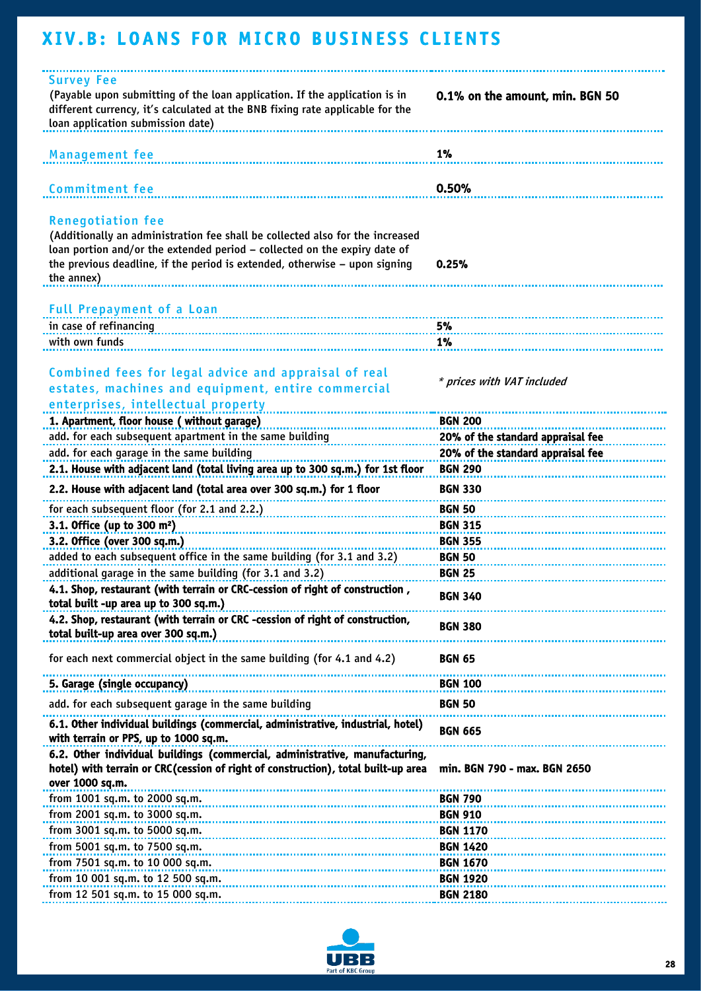# <span id="page-28-0"></span>XIV.B: LOANS FOR MICRO BUSINESS CLIENTS

| <b>Survey Fee</b><br>(Payable upon submitting of the loan application. If the application is in<br>different currency, it's calculated at the BNB fixing rate applicable for the<br>loan application submission date)                                                              | 0.1% on the amount, min. BGN 50   |
|------------------------------------------------------------------------------------------------------------------------------------------------------------------------------------------------------------------------------------------------------------------------------------|-----------------------------------|
| <b>Management fee</b>                                                                                                                                                                                                                                                              | 1%                                |
| <b>Commitment fee</b>                                                                                                                                                                                                                                                              | 0.50%                             |
| <b>Renegotiation fee</b><br>(Additionally an administration fee shall be collected also for the increased<br>loan portion and/or the extended period - collected on the expiry date of<br>the previous deadline, if the period is extended, otherwise - upon signing<br>the annex) | 0.25%                             |
| Full Prepayment of a Loan entitled and the contract of the boat of the contract of the contract of the contract of the contract of the contract of the contract of the contract of the contract of the contract of the contrac                                                     |                                   |
| in case of refinancing                                                                                                                                                                                                                                                             | 5%                                |
| with own funds                                                                                                                                                                                                                                                                     | 1%                                |
|                                                                                                                                                                                                                                                                                    |                                   |
| Combined fees for legal advice and appraisal of real<br>estates, machines and equipment, entire commercial<br>enterprises, intellectual property                                                                                                                                   | * prices with VAT included        |
| 1. Apartment, floor house (without garage)                                                                                                                                                                                                                                         | <b>BGN 200</b>                    |
| add. for each subsequent apartment in the same building                                                                                                                                                                                                                            | 20% of the standard appraisal fee |
|                                                                                                                                                                                                                                                                                    |                                   |
| add. for each garage in the same building                                                                                                                                                                                                                                          | 20% of the standard appraisal fee |
| 2.1. House with adjacent land (total living area up to 300 sq.m.) for 1st floor                                                                                                                                                                                                    | <b>BGN 290</b>                    |
| 2.2. House with adjacent land (total area over 300 sq.m.) for 1 floor                                                                                                                                                                                                              | <b>BGN 330</b>                    |
| for each subsequent floor (for 2.1 and 2.2.)                                                                                                                                                                                                                                       | <b>BGN 50</b>                     |
| 3.1. Office (up to 300 $m2$ )                                                                                                                                                                                                                                                      | <b>BGN 315</b>                    |
| 3.2. Office (over 300 sq.m.)                                                                                                                                                                                                                                                       | <b>BGN 355</b>                    |
| added to each subsequent office in the same building (for 3.1 and 3.2)                                                                                                                                                                                                             | <b>BGN 50</b>                     |
| additional garage in the same building (for 3.1 and 3.2)                                                                                                                                                                                                                           | <b>BGN 25</b>                     |
| 4.1. Shop, restaurant (with terrain or CRC-cession of right of construction                                                                                                                                                                                                        |                                   |
| total built -up area up to 300 sq.m.)                                                                                                                                                                                                                                              | <b>BGN 340</b>                    |
| 4.2. Shop, restaurant (with terrain or CRC -cession of right of construction,<br>total built-up area over 300 sq.m.)                                                                                                                                                               | <b>BGN 380</b>                    |
| for each next commercial object in the same building (for 4.1 and 4.2)                                                                                                                                                                                                             | <b>BGN 65</b>                     |
| 5. Garage (single occupancy)                                                                                                                                                                                                                                                       | <b>BGN 100</b>                    |
| add. for each subsequent garage in the same building                                                                                                                                                                                                                               | <b>BGN 50</b>                     |
| 6.1. Other individual buildings (commercial, administrative, industrial, hotel)<br>with terrain or PPS, up to 1000 sq.m.                                                                                                                                                           | <b>BGN 665</b>                    |
|                                                                                                                                                                                                                                                                                    |                                   |
| 6.2. Other individual buildings (commercial, administrative, manufacturing,<br>hotel) with terrain or CRC (cession of right of construction), total built-up area<br>over 1000 sq.m.                                                                                               | min. BGN 790 - max. BGN 2650      |
| from 1001 sq.m. to 2000 sq.m.                                                                                                                                                                                                                                                      | <b>BGN 790</b>                    |
| from 2001 sq.m. to 3000 sq.m.                                                                                                                                                                                                                                                      | <b>BGN 910</b>                    |
| from 3001 sq.m. to 5000 sq.m.                                                                                                                                                                                                                                                      | <b>BGN 1170</b>                   |
| from 5001 sq.m. to 7500 sq.m.                                                                                                                                                                                                                                                      | <b>BGN 1420</b>                   |
| from 7501 sq.m. to 10 000 sq.m.                                                                                                                                                                                                                                                    | <b>BGN 1670</b>                   |
| from 10 001 sq.m. to 12 500 sq.m.                                                                                                                                                                                                                                                  | <b>BGN 1920</b>                   |
| from 12 501 sq.m. to 15 000 sq.m.                                                                                                                                                                                                                                                  | <b>BGN 2180</b>                   |
|                                                                                                                                                                                                                                                                                    |                                   |

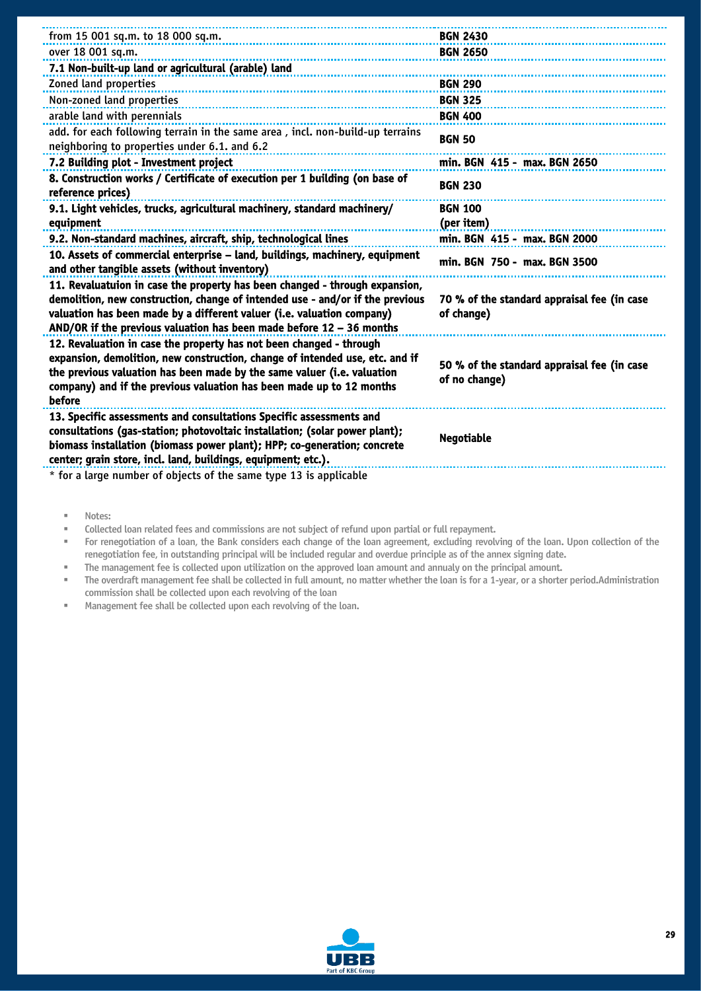| from 15 001 sq.m. to 18 000 sq.m.                                                                                                                                                                                                                                                                                | <b>BGN 2430</b>                                              |
|------------------------------------------------------------------------------------------------------------------------------------------------------------------------------------------------------------------------------------------------------------------------------------------------------------------|--------------------------------------------------------------|
| over 18 001 sq.m.                                                                                                                                                                                                                                                                                                | <b>BGN 2650</b>                                              |
| 7.1 Non-built-up land or agricultural (arable) land                                                                                                                                                                                                                                                              |                                                              |
| Zoned land properties                                                                                                                                                                                                                                                                                            | <b>BGN 290</b>                                               |
| Non-zoned land properties                                                                                                                                                                                                                                                                                        | <b>BGN 325</b>                                               |
| arable land with perennials                                                                                                                                                                                                                                                                                      | <b>BGN 400</b>                                               |
| add. for each following terrain in the same area, incl. non-build-up terrains<br>neighboring to properties under 6.1. and 6.2                                                                                                                                                                                    | <b>BGN 50</b>                                                |
| 7.2 Building plot - Investment project                                                                                                                                                                                                                                                                           | min. BGN 415 - max. BGN 2650                                 |
| 8. Construction works / Certificate of execution per 1 building (on base of<br>reference prices)                                                                                                                                                                                                                 | <b>BGN 230</b>                                               |
| 9.1. Light vehicles, trucks, agricultural machinery, standard machinery/                                                                                                                                                                                                                                         | <b>BGN 100</b>                                               |
| equipment                                                                                                                                                                                                                                                                                                        | (per item)                                                   |
| 9.2. Non-standard machines, aircraft, ship, technological lines                                                                                                                                                                                                                                                  | min. BGN 415 - max. BGN 2000                                 |
| 10. Assets of commercial enterprise - land, buildings, machinery, equipment<br>and other tangible assets (without inventory)                                                                                                                                                                                     | min. BGN 750 - max. BGN 3500                                 |
| 11. Revaluatuion in case the property has been changed - through expansion,<br>demolition, new construction, change of intended use - and/or if the previous<br>valuation has been made by a different valuer (i.e. valuation company)<br>AND/OR if the previous valuation has been made before $12 - 36$ months | 70 % of the standard appraisal fee (in case<br>of change)    |
| 12. Revaluation in case the property has not been changed - through<br>expansion, demolition, new construction, change of intended use, etc. and if<br>the previous valuation has been made by the same valuer (i.e. valuation<br>company) and if the previous valuation has been made up to 12 months<br>before | 50 % of the standard appraisal fee (in case<br>of no change) |
| 13. Specific assessments and consultations Specific assessments and<br>consultations (gas-station; photovoltaic installation; (solar power plant);<br>biomass installation (biomass power plant); HPP; co-generation; concrete<br>center; grain store, incl. land, buildings, equipment; etc.).                  | <b>Negotiable</b>                                            |
| * for a large number of objects of the same type 13 is applicable                                                                                                                                                                                                                                                |                                                              |

▪ Notes:

▪ Collected loan related fees and commissions are not subject of refund upon partial or full repayment.

For renegotiation of a loan, the Bank considers each change of the loan agreement, excluding revolving of the loan. Upon collection of the renegotiation fee, in outstanding principal will be included regular and overdue principle as of the annex signing date.

▪ The management fee is collected upon utilization on the approved loan amount and annualy on the principal amount.

The overdraft management fee shall be collected in full amount, no matter whether the loan is for a 1-year, or a shorter period.Administration commission shall be collected upon each revolving of the loan

Management fee shall be collected upon each revolving of the loan.

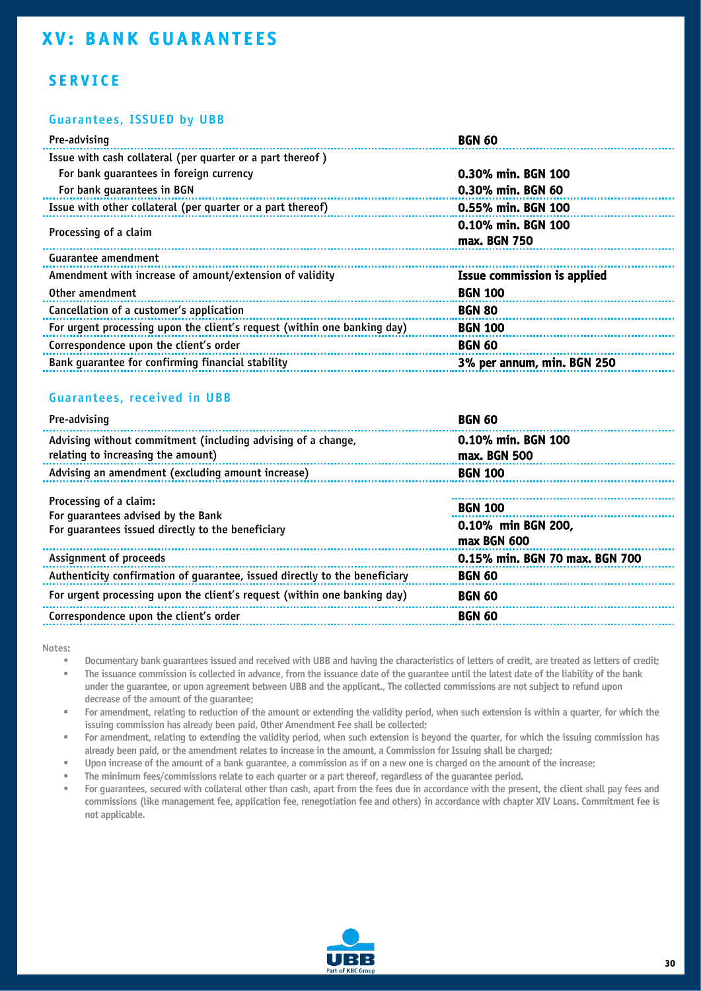### <span id="page-30-0"></span>**SERVICE**

#### Guarantees, ISSUED by UBB

| Pre-advising                                                             | <b>BGN 60</b>                      |
|--------------------------------------------------------------------------|------------------------------------|
| Issue with cash collateral (per quarter or a part thereof)               |                                    |
| For bank quarantees in foreign currency                                  | 0.30% min. BGN 100                 |
| For bank quarantees in BGN                                               | 0.30% min. BGN 60                  |
| Issue with other collateral (per quarter or a part thereof)              | 0.55% min. BGN 100                 |
| Processing of a claim                                                    | 0.10% min. BGN 100                 |
|                                                                          | max. BGN 750                       |
| Guarantee amendment                                                      |                                    |
| Amendment with increase of amount/extension of validity                  | <b>Issue commission is applied</b> |
| Other amendment                                                          | <b>BGN 100</b>                     |
| Cancellation of a customer's application                                 | <b>BGN 80</b>                      |
| For urgent processing upon the client's request (within one banking day) | <b>BGN 100</b>                     |
| Correspondence upon the client's order                                   | <b>BGN 60</b>                      |
| Bank quarantee for confirming financial stability                        | 3% per annum, min. BGN 250         |
|                                                                          |                                    |

#### Guarantees, received in UBB

| Pre-advising                                                                                                      | <b>BGN 60</b>                      |
|-------------------------------------------------------------------------------------------------------------------|------------------------------------|
| Advising without commitment (including advising of a change,<br>relating to increasing the amount)                | 0.10% min. BGN 100<br>max. BGN 500 |
| Advising an amendment (excluding amount increase)                                                                 | <b>BGN 100</b>                     |
|                                                                                                                   |                                    |
| Processing of a claim:<br>For quarantees advised by the Bank<br>For quarantees issued directly to the beneficiary | <b>BGN 100</b>                     |
|                                                                                                                   | 0.10% min BGN 200,<br>max BGN 600  |
| Assignment of proceeds                                                                                            | 0.15% min. BGN 70 max. BGN 700     |
| Authenticity confirmation of quarantee, issued directly to the beneficiary                                        | <b>BGN 60</b>                      |
| For urgent processing upon the client's request (within one banking day)                                          | <b>BGN 60</b>                      |
| Correspondence upon the client's order                                                                            | <b>BGN 60</b>                      |
|                                                                                                                   |                                    |

Notes:

Documentary bank guarantees issued and received with UBB and having the characteristics of letters of credit, are treated as letters of credit;

The issuance commission is collected in advance, from the issuance date of the quarantee until the latest date of the liability of the bank

under the guarantee, or upon agreement between UBB and the applicant., The collected commissions are not subject to refund upon decrease of the amount of the guarantee;

For amendment, relating to reduction of the amount or extending the validity period, when such extension is within a quarter, for which the issuing commission has already been paid, Other Amendment Fee shall be collected;

For amendment, relating to extending the validity period, when such extension is beyond the quarter, for which the issuing commission has already been paid, or the amendment relates to increase in the amount, a Commission for Issuing shall be charged;

Upon increase of the amount of a bank guarantee, a commission as if on a new one is charged on the amount of the increase;

The minimum fees/commissions relate to each quarter or a part thereof, regardless of the quarantee period.

For guarantees, secured with collateral other than cash, apart from the fees due in accordance with the present, the client shall pay fees and commissions (like management fee, application fee, renegotiation fee and others) in accordance with chapter XIV Loans. Commitment fee is not applicable.

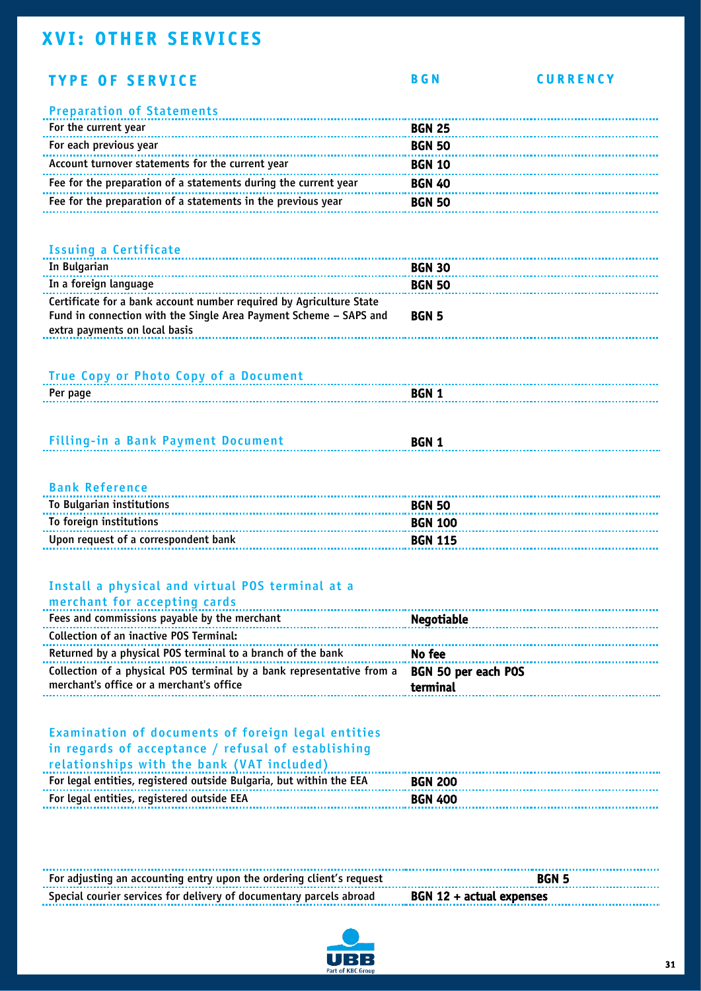# <span id="page-31-0"></span>**XVI: OTHER SERVICES**

| <b>TYPE OF SERVICE</b>                                                                                                                                                    | <b>BGN</b>                      | <b>CURRENCY</b> |
|---------------------------------------------------------------------------------------------------------------------------------------------------------------------------|---------------------------------|-----------------|
| <b>Preparation of Statements</b>                                                                                                                                          |                                 |                 |
| For the current year                                                                                                                                                      | <b>BGN 25</b>                   |                 |
| For each previous year                                                                                                                                                    | <b>BGN 50</b>                   |                 |
| Account turnover statements for the current year                                                                                                                          | <b>BGN 10</b>                   |                 |
| Fee for the preparation of a statements during the current year                                                                                                           | <b>BGN 40</b>                   |                 |
| Fee for the preparation of a statements in the previous year                                                                                                              | <b>BGN 50</b>                   |                 |
|                                                                                                                                                                           |                                 |                 |
|                                                                                                                                                                           |                                 |                 |
| <b>Issuing a Certificate</b>                                                                                                                                              |                                 |                 |
| In Bulgarian                                                                                                                                                              | <b>BGN 30</b>                   |                 |
| In a foreign language                                                                                                                                                     | <b>BGN 50</b>                   |                 |
| Certificate for a bank account number required by Agriculture State<br>Fund in connection with the Single Area Payment Scheme - SAPS and<br>extra payments on local basis | <b>BGN 5</b>                    |                 |
|                                                                                                                                                                           |                                 |                 |
|                                                                                                                                                                           |                                 |                 |
| True Copy or Photo Copy of a Document                                                                                                                                     |                                 |                 |
| Per page                                                                                                                                                                  | <b>BGN 1</b>                    |                 |
|                                                                                                                                                                           |                                 |                 |
| <b>Filling-in a Bank Payment Document</b>                                                                                                                                 | <b>BGN 1</b>                    |                 |
|                                                                                                                                                                           |                                 |                 |
|                                                                                                                                                                           |                                 |                 |
| <b>Bank Reference</b>                                                                                                                                                     |                                 |                 |
| To Bulgarian institutions                                                                                                                                                 | <b>BGN 50</b>                   |                 |
| To foreign institutions                                                                                                                                                   | <b>BGN 100</b>                  |                 |
| Upon request of a correspondent bank                                                                                                                                      | <b>BGN 115</b>                  |                 |
|                                                                                                                                                                           |                                 |                 |
| Install a physical and virtual POS terminal at a                                                                                                                          |                                 |                 |
| merchant for accepting cards                                                                                                                                              |                                 |                 |
| Fees and commissions payable by the merchant                                                                                                                              | <b>Negotiable</b>               |                 |
| <b>Collection of an inactive POS Terminal:</b>                                                                                                                            |                                 |                 |
| Returned by a physical POS terminal to a branch of the bank                                                                                                               | No fee                          |                 |
| Collection of a physical POS terminal by a bank representative from a                                                                                                     |                                 |                 |
| merchant's office or a merchant's office                                                                                                                                  | BGN 50 per each POS<br>terminal |                 |
|                                                                                                                                                                           |                                 |                 |
|                                                                                                                                                                           |                                 |                 |
| Examination of documents of foreign legal entities                                                                                                                        |                                 |                 |
| in regards of acceptance / refusal of establishing                                                                                                                        |                                 |                 |
| relationships with the bank (VAT included)                                                                                                                                |                                 |                 |
| For legal entities, registered outside Bulgaria, but within the EEA                                                                                                       | <b>BGN 200</b>                  |                 |
| For legal entities, registered outside EEA                                                                                                                                | <b>BGN 400</b>                  |                 |
|                                                                                                                                                                           |                                 |                 |
|                                                                                                                                                                           |                                 |                 |
|                                                                                                                                                                           |                                 |                 |

| For adjusting an accounting entry upon the ordering client's request                           | <b>BGN 5</b> |
|------------------------------------------------------------------------------------------------|--------------|
| Special courier services for delivery of documentary parcels abroad $BGN 12 + actual$ expenses |              |

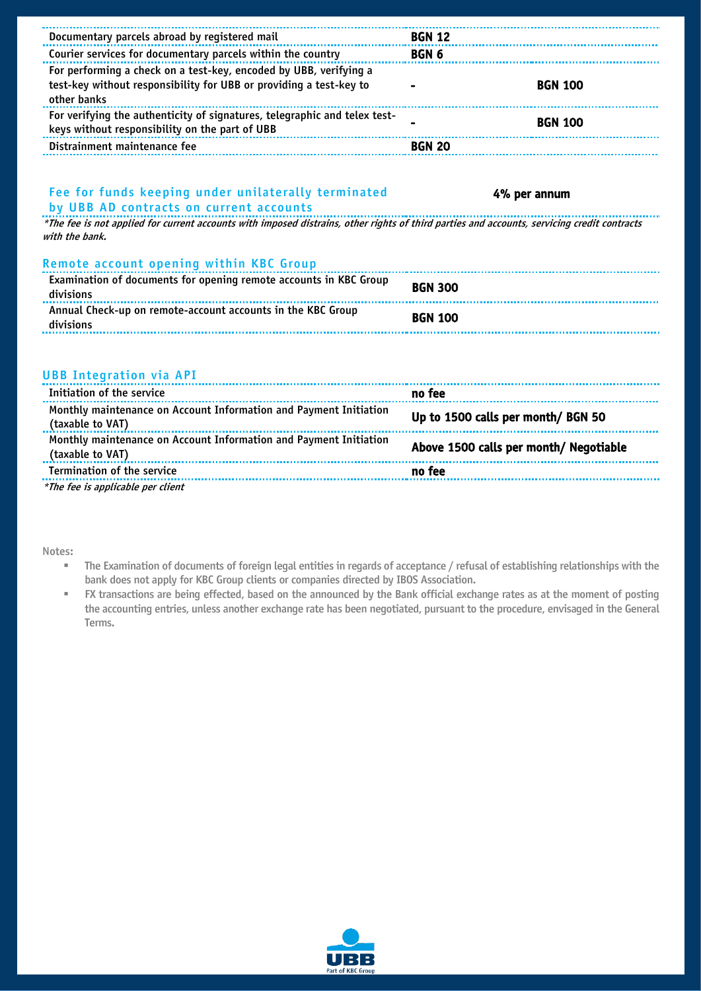| Documentary parcels abroad by registered mail                                                                                                                 | <b>BGN 12</b>                          |
|---------------------------------------------------------------------------------------------------------------------------------------------------------------|----------------------------------------|
| Courier services for documentary parcels within the country                                                                                                   | BGN <sub>6</sub>                       |
| For performing a check on a test-key, encoded by UBB, verifying a<br>test-key without responsibility for UBB or providing a test-key to<br>other banks        | <b>BGN 100</b>                         |
| For verifying the authenticity of signatures, telegraphic and telex test-<br>keys without responsibility on the part of UBB                                   | <b>BGN 100</b>                         |
| Distrainment maintenance fee                                                                                                                                  | <b>BGN 20</b>                          |
| Fee for funds keeping under unilaterally terminated<br>by UBB AD contracts on current accounts                                                                | 4% per annum                           |
| *The fee is not applied for current accounts with imposed distrains, other rights of third parties and accounts, servicing credit contracts<br>with the bank. |                                        |
| Remote account opening within KBC Group                                                                                                                       |                                        |
| Examination of documents for opening remote accounts in KBC Group<br>divisions                                                                                | <b>BGN 300</b>                         |
| Annual Check-up on remote-account accounts in the KBC Group<br>divisions                                                                                      | <b>BGN 100</b>                         |
| <b>UBB Integration via API</b>                                                                                                                                |                                        |
| Initiation of the service                                                                                                                                     | no fee                                 |
| Monthly maintenance on Account Information and Payment Initiation<br>(taxable to VAT)                                                                         | Up to 1500 calls per month/ BGN 50     |
| Monthly maintenance on Account Information and Payment Initiation<br>(taxable to VAT)                                                                         | Above 1500 calls per month/ Negotiable |
| Termination of the service                                                                                                                                    | no fee                                 |
| *The fee is applicable per client                                                                                                                             |                                        |

Notes:

- The Examination of documents of foreign legal entities in regards of acceptance / refusal of establishing relationships with the bank does not apply for KBC Group clients or companies directed by IBOS Association.
- FX transactions are being effected, based on the announced by the Bank official exchange rates as at the moment of posting the accounting entries, unless another exchange rate has been negotiated, pursuant to the procedure, envisaged in the General Terms.

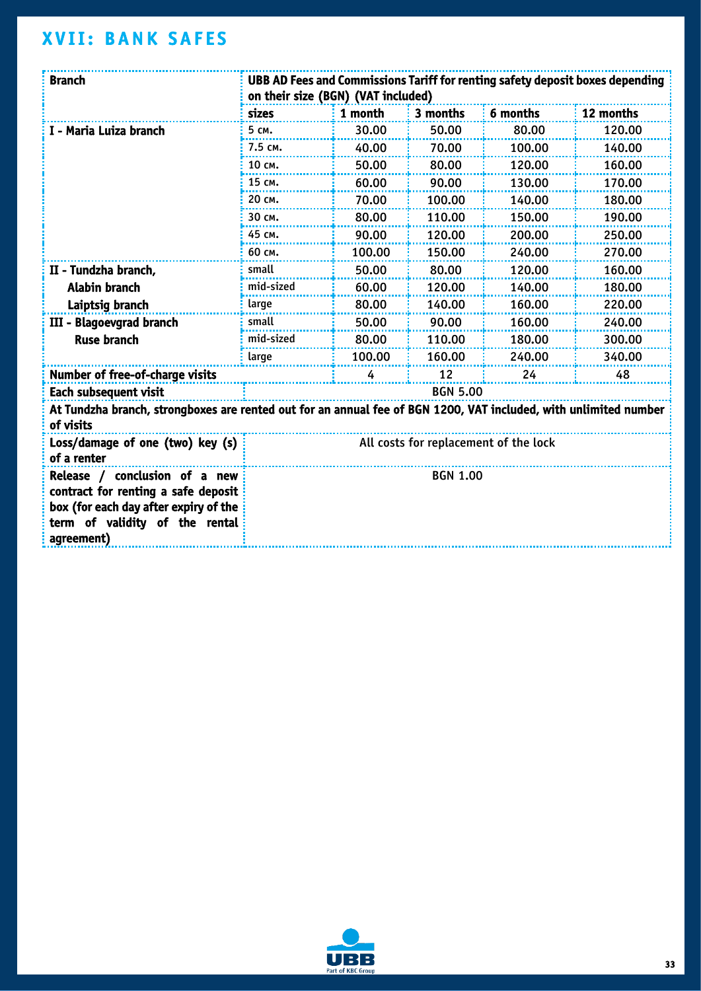# <span id="page-33-0"></span>**XVII: BANK SAFES**

| <b>Branch</b>                                                                                                                                                 | UBB AD Fees and Commissions Tariff for renting safety deposit boxes depending<br>on their size (BGN) (VAT included) |         |                 |          |           |
|---------------------------------------------------------------------------------------------------------------------------------------------------------------|---------------------------------------------------------------------------------------------------------------------|---------|-----------------|----------|-----------|
|                                                                                                                                                               | sizes                                                                                                               | 1 month | 3 months        | 6 months | 12 months |
| I - Maria Luiza branch                                                                                                                                        | 5 см.                                                                                                               | 30.00   | 50.00           | 80.00    | 120.00    |
|                                                                                                                                                               | 7.5 см.                                                                                                             | 40.00   | 70.00           | 100.00   | 140.00    |
|                                                                                                                                                               | 10 см.                                                                                                              | 50.00   | 80.00           | 120.00   | 160.00    |
|                                                                                                                                                               | 15 см.                                                                                                              | 60.00   | 90.00           | 130.00   | 170.00    |
|                                                                                                                                                               | 20 см.                                                                                                              | 70.00   | 100.00          | 140.00   | 180.00    |
|                                                                                                                                                               | 30 см.                                                                                                              | 80.00   | 110.00          | 150.00   | 190.00    |
|                                                                                                                                                               | 45 см.                                                                                                              | 90.00   | 120.00          | 200.00   | 250.00    |
|                                                                                                                                                               | 60 см.                                                                                                              | 100.00  | 150.00          | 240.00   | 270.00    |
| II - Tundzha branch,                                                                                                                                          | small                                                                                                               | 50.00   | 80.00           | 120.00   | 160.00    |
| <b>Alabin branch</b>                                                                                                                                          | mid-sized                                                                                                           | 60.00   | 120.00          | 140.00   | 180.00    |
| Laiptsig branch                                                                                                                                               | large                                                                                                               | 80.00   | 140.00          | 160.00   | 220.00    |
| III - Blagoevgrad branch                                                                                                                                      | small                                                                                                               | 50.00   | 90.00           | 160.00   | 240.00    |
| <b>Ruse branch</b>                                                                                                                                            | mid-sized                                                                                                           | 80.00   | 110.00          | 180.00   | 300.00    |
|                                                                                                                                                               | large                                                                                                               | 100.00  | 160.00          | 240.00   | 340.00    |
| Number of free-of-charge visits                                                                                                                               | 12<br>24<br>48<br>4                                                                                                 |         |                 |          |           |
| Each subsequent visit                                                                                                                                         |                                                                                                                     |         | <b>BGN 5.00</b> |          |           |
| At Tundzha branch, strongboxes are rented out for an annual fee of BGN 1200, VAT included, with unlimited number<br>of visits                                 |                                                                                                                     |         |                 |          |           |
| Loss/damage of one (two) key (s)<br>of a renter                                                                                                               | All costs for replacement of the lock                                                                               |         |                 |          |           |
| Release / conclusion of a new<br>contract for renting a safe deposit<br>box (for each day after expiry of the<br>term of validity of the rental<br>agreement) |                                                                                                                     |         | <b>BGN 1.00</b> |          |           |

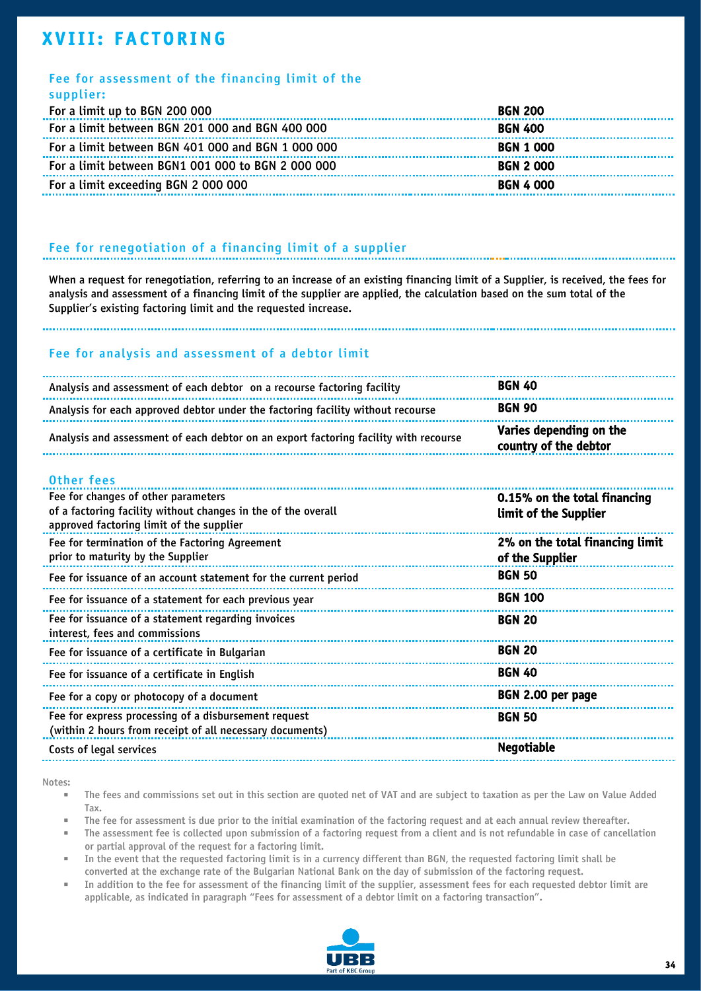## <span id="page-34-0"></span>**XVIII: FACTORING**

#### Fee for assessment of the financing limit of the supplier:

| JUPPIIII                                          |                  |
|---------------------------------------------------|------------------|
| For a limit up to BGN 200 000                     | <b>BGN 200</b>   |
| For a limit between BGN 201 000 and BGN 400 000   | <b>BGN 400</b>   |
| For a limit between BGN 401 000 and BGN 1 000 000 | <b>BGN 1 000</b> |
| For a limit between BGN1 001 000 to BGN 2 000 000 | <b>BGN 2000</b>  |
| For a limit exceeding BGN 2 000 000               | <b>BGN 4 000</b> |
|                                                   |                  |

#### Fee for renegotiation of a financing limit of a supplier

When a request for renegotiation, referring to an increase of an existing financing limit of a Supplier, is received, the fees for analysis and assessment of a financing limit of the supplier are applied, the calculation based on the sum total of the Supplier's existing factoring limit and the requested increase.

#### Fee for analysis and assessment of a debtor limit

| Analysis and assessment of each debtor on a recourse factoring facility              | <b>BGN 40</b>                                    |
|--------------------------------------------------------------------------------------|--------------------------------------------------|
| Analysis for each approved debtor under the factoring facility without recourse      | <b>BGN 90</b>                                    |
| Analysis and assessment of each debtor on an export factoring facility with recourse | Varies depending on the<br>country of the debtor |

#### Other fees

| Fee for changes of other parameters<br>of a factoring facility without changes in the of the overall<br>approved factoring limit of the supplier | 0.15% on the total financing<br>limit of the Supplier |
|--------------------------------------------------------------------------------------------------------------------------------------------------|-------------------------------------------------------|
| Fee for termination of the Factoring Agreement<br>prior to maturity by the Supplier                                                              | 2% on the total financing limit<br>of the Supplier    |
| Fee for issuance of an account statement for the current period                                                                                  | <b>BGN 50</b>                                         |
| Fee for issuance of a statement for each previous year                                                                                           | <b>BGN 100</b>                                        |
| Fee for issuance of a statement regarding invoices<br>interest, fees and commissions                                                             | <b>BGN 20</b>                                         |
| Fee for issuance of a certificate in Bulgarian                                                                                                   | <b>BGN 20</b>                                         |
| Fee for issuance of a certificate in English                                                                                                     | <b>BGN 40</b>                                         |
| Fee for a copy or photocopy of a document                                                                                                        | BGN 2.00 per page                                     |
| Fee for express processing of a disbursement request<br>(within 2 hours from receipt of all necessary documents)                                 | <b>BGN 50</b>                                         |
| Costs of legal services                                                                                                                          | <b>Negotiable</b>                                     |

#### Notes:

- The fees and commissions set out in this section are quoted net of VAT and are subject to taxation as per the Law on Value Added Tax.
- The fee for assessment is due prior to the initial examination of the factoring request and at each annual review thereafter.
- The assessment fee is collected upon submission of a factoring request from a client and is not refundable in case of cancellation or partial approval of the request for a factoring limit.
- In the event that the requested factoring limit is in a currency different than BGN, the requested factoring limit shall be converted at the exchange rate of the Bulgarian National Bank on the day of submission of the factoring request.
- In addition to the fee for assessment of the financing limit of the supplier, assessment fees for each requested debtor limit are applicable, as indicated in paragraph "Fees for assessment of a debtor limit on a factoring transaction".

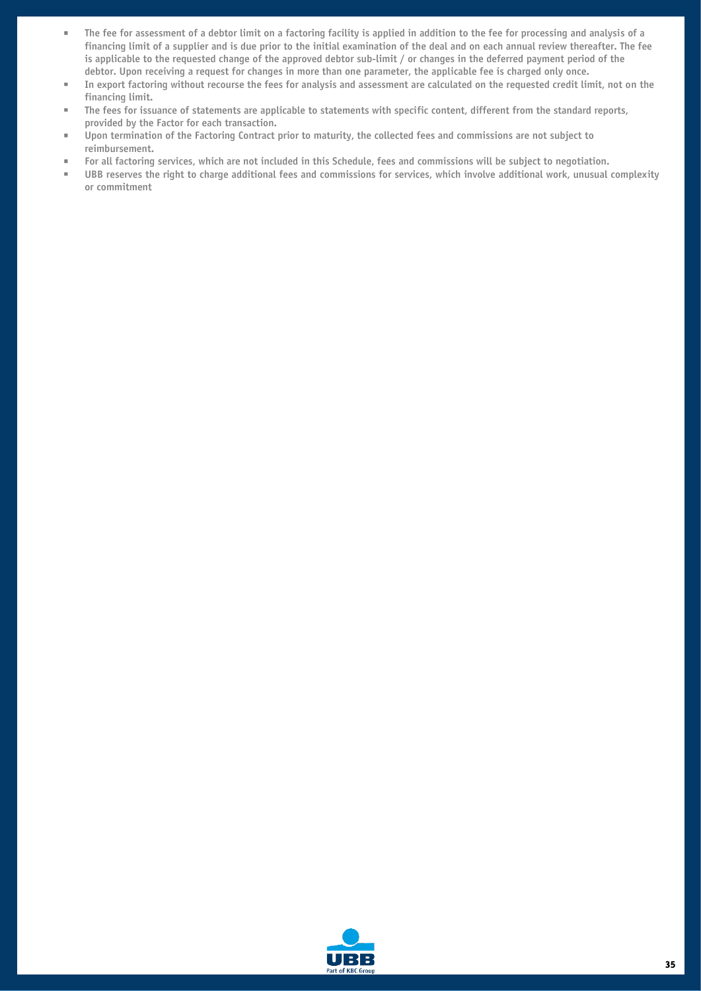- <span id="page-35-0"></span>▪ The fee for assessment of a debtor limit on a factoring facility is applied in addition to the fee for processing and analysis of a financing limit of a supplier and is due prior to the initial examination of the deal and on each annual review thereafter. The fee is applicable to the requested change of the approved debtor sub-limit / or changes in the deferred payment period of the debtor. Upon receiving a request for changes in more than one parameter, the applicable fee is charged only once.
- In export factoring without recourse the fees for analysis and assessment are calculated on the requested credit limit, not on the financing limit.
- The fees for issuance of statements are applicable to statements with specific content, different from the standard reports, provided by the Factor for each transaction.
- Upon termination of the Factoring Contract prior to maturity, the collected fees and commissions are not subject to reimbursement.
- For all factoring services, which are not included in this Schedule, fees and commissions will be subject to negotiation.
- UBB reserves the right to charge additional fees and commissions for services, which involve additional work, unusual complexity or commitment

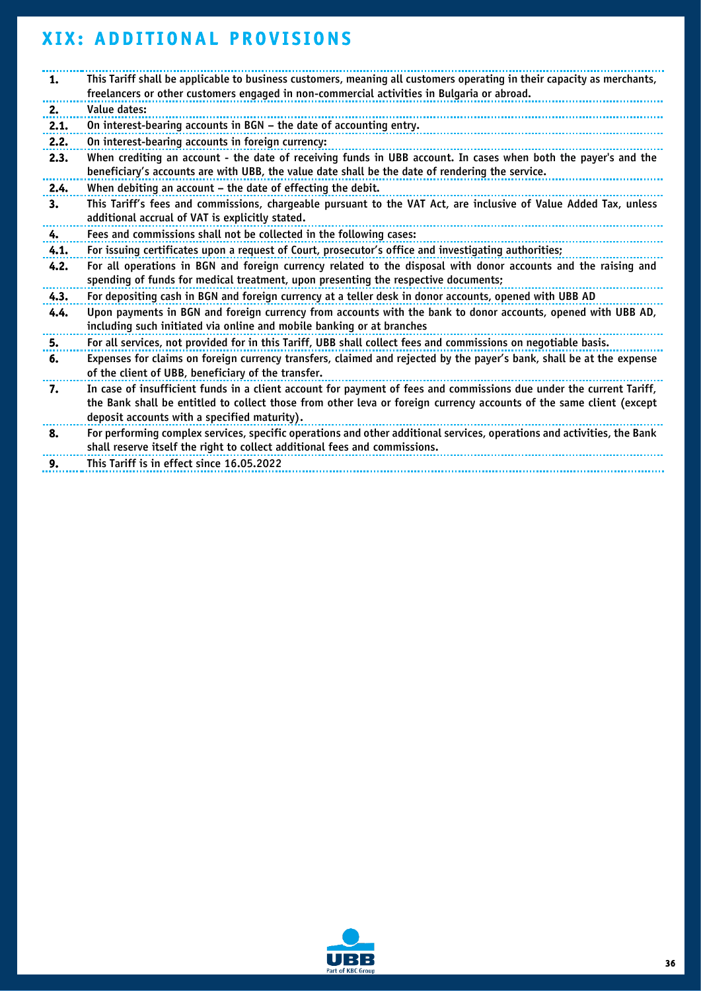# <span id="page-36-0"></span>**XIX: ADDITIONAL PROVISIONS**

| 1.   | This Tariff shall be applicable to business customers, meaning all customers operating in their capacity as merchants,<br>freelancers or other customers engaged in non-commercial activities in Bulgaria or abroad.                                                                       |
|------|--------------------------------------------------------------------------------------------------------------------------------------------------------------------------------------------------------------------------------------------------------------------------------------------|
| 2.   | Value dates:                                                                                                                                                                                                                                                                               |
| 2.1. | On interest-bearing accounts in BGN - the date of accounting entry.                                                                                                                                                                                                                        |
| 2.2. | On interest-bearing accounts in foreign currency:                                                                                                                                                                                                                                          |
| 2.3. | When crediting an account - the date of receiving funds in UBB account. In cases when both the payer's and the<br>beneficiary's accounts are with UBB, the value date shall be the date of rendering the service.                                                                          |
| 2.4. | When debiting an account - the date of effecting the debit.                                                                                                                                                                                                                                |
| 3.   | This Tariff's fees and commissions, chargeable pursuant to the VAT Act, are inclusive of Value Added Tax, unless<br>additional accrual of VAT is explicitly stated.                                                                                                                        |
| 4.   | Fees and commissions shall not be collected in the following cases:                                                                                                                                                                                                                        |
| 4.1. | For issuing certificates upon a request of Court, prosecutor's office and investigating authorities;                                                                                                                                                                                       |
| 4.2. | For all operations in BGN and foreign currency related to the disposal with donor accounts and the raising and<br>spending of funds for medical treatment, upon presenting the respective documents;                                                                                       |
| 4.3. | For depositing cash in BGN and foreign currency at a teller desk in donor accounts, opened with UBB AD                                                                                                                                                                                     |
| 4.4. | Upon payments in BGN and foreign currency from accounts with the bank to donor accounts, opened with UBB AD,<br>including such initiated via online and mobile banking or at branches                                                                                                      |
| 5.   | For all services, not provided for in this Tariff, UBB shall collect fees and commissions on negotiable basis.                                                                                                                                                                             |
| 6.   | Expenses for claims on foreign currency transfers, claimed and rejected by the payer's bank, shall be at the expense<br>of the client of UBB, beneficiary of the transfer.                                                                                                                 |
| 7.   | In case of insufficient funds in a client account for payment of fees and commissions due under the current Tariff,<br>the Bank shall be entitled to collect those from other leva or foreign currency accounts of the same client (except<br>deposit accounts with a specified maturity). |
| 8.   | For performing complex services, specific operations and other additional services, operations and activities, the Bank<br>shall reserve itself the right to collect additional fees and commissions.                                                                                      |
| £    | This Tariff is in offect since 16 OF 2022                                                                                                                                                                                                                                                  |

**9.** This Tariff is in effect since 16.05.2022